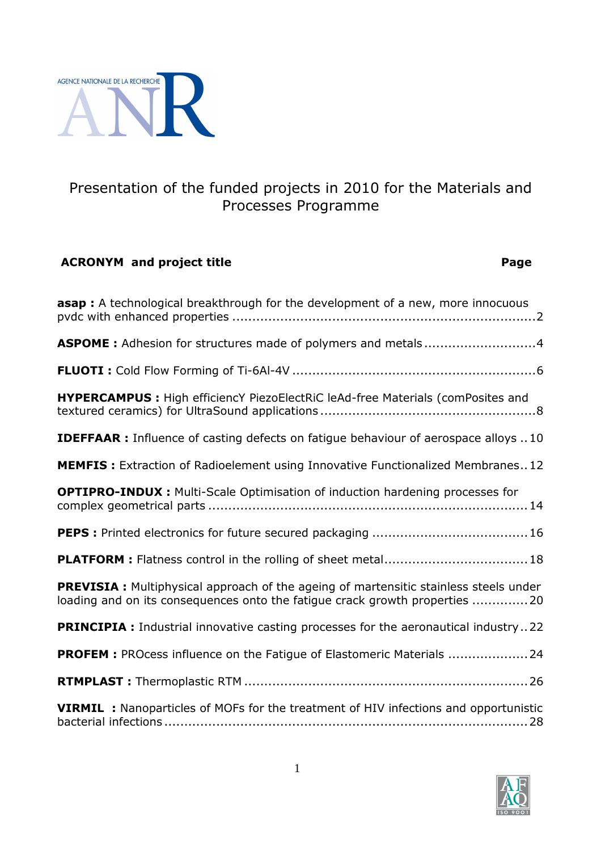

# Presentation of the funded projects in 2010 for the Materials and Processes Programme

## **ACRONYM and project title Page**

| <b>asap</b> : A technological breakthrough for the development of a new, more innocuous                                                                              |
|----------------------------------------------------------------------------------------------------------------------------------------------------------------------|
| <b>ASPOME</b> : Adhesion for structures made of polymers and metals4                                                                                                 |
|                                                                                                                                                                      |
| HYPERCAMPUS : High efficiencY PiezoElectRiC leAd-free Materials (comPosites and                                                                                      |
| <b>IDEFFAAR</b> : Influence of casting defects on fatigue behaviour of aerospace alloys 10                                                                           |
| <b>MEMFIS:</b> Extraction of Radioelement using Innovative Functionalized Membranes12                                                                                |
| <b>OPTIPRO-INDUX:</b> Multi-Scale Optimisation of induction hardening processes for                                                                                  |
|                                                                                                                                                                      |
| PLATFORM : Flatness control in the rolling of sheet metal 18                                                                                                         |
| PREVISIA : Multiphysical approach of the ageing of martensitic stainless steels under<br>loading and on its consequences onto the fatigue crack growth properties 20 |
| <b>PRINCIPIA :</b> Industrial innovative casting processes for the aeronautical industry22                                                                           |
| PROFEM : PROcess influence on the Fatigue of Elastomeric Materials  24                                                                                               |
|                                                                                                                                                                      |
| <b>VIRMIL</b> : Nanoparticles of MOFs for the treatment of HIV infections and opportunistic                                                                          |

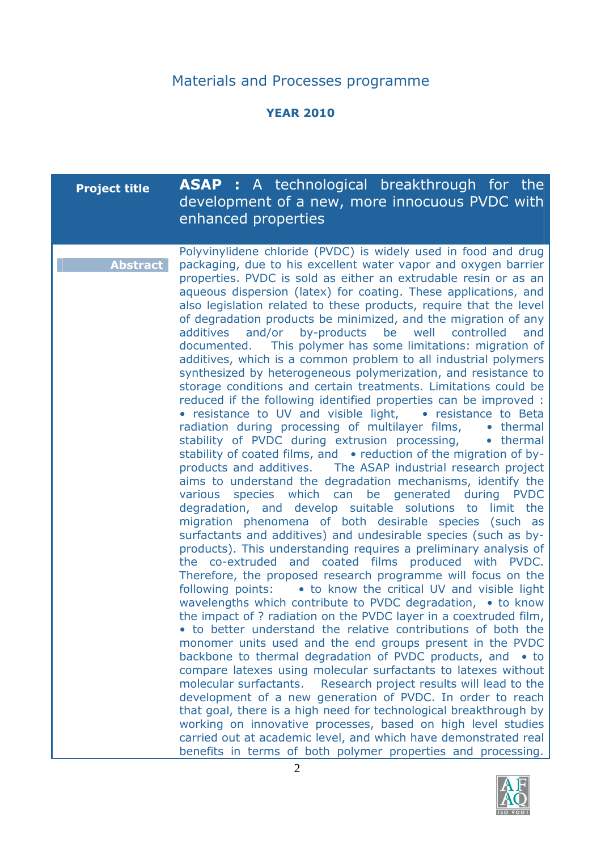# Materials and Processes programme

#### **YEAR 2010**

| Polyvinylidene chloride (PVDC) is widely used in food and drug<br>packaging, due to his excellent water vapor and oxygen barrier<br><b>Abstract</b><br>properties. PVDC is sold as either an extrudable resin or as an<br>aqueous dispersion (latex) for coating. These applications, and<br>also legislation related to these products, require that the level<br>of degradation products be minimized, and the migration of any<br>and/or by-products be well<br>additives<br>controlled<br>and<br>documented. This polymer has some limitations: migration of<br>additives, which is a common problem to all industrial polymers<br>synthesized by heterogeneous polymerization, and resistance to<br>storage conditions and certain treatments. Limitations could be<br>reduced if the following identified properties can be improved :<br>• resistance to UV and visible light, • resistance to Beta<br>radiation during processing of multilayer films,<br>• thermal<br>stability of PVDC during extrusion processing,<br>• thermal<br>stability of coated films, and • reduction of the migration of by-<br>products and additives. The ASAP industrial research project<br>aims to understand the degradation mechanisms, identify the<br>various species which can be generated<br>during PVDC<br>degradation, and develop suitable solutions to limit the<br>migration phenomena of both desirable species (such as<br>surfactants and additives) and undesirable species (such as by-<br>products). This understanding requires a preliminary analysis of<br>the co-extruded and coated films produced with PVDC.<br>Therefore, the proposed research programme will focus on the<br>following points: • to know the critical UV and visible light<br>wavelengths which contribute to PVDC degradation, • to know<br>the impact of ? radiation on the PVDC layer in a coextruded film,<br>• to better understand the relative contributions of both the<br>monomer units used and the end groups present in the PVDC<br>backbone to thermal degradation of PVDC products, and<br>$\bullet$ to<br>compare latexes using molecular surfactants to latexes without<br>molecular surfactants.<br>Research project results will lead to the<br>development of a new generation of PVDC. In order to reach<br>that goal, there is a high need for technological breakthrough by<br>working on innovative processes, based on high level studies | <b>Project title</b> | <b>ASAP</b> : A technological breakthrough for the<br>development of a new, more innocuous PVDC with<br>enhanced properties |
|-------------------------------------------------------------------------------------------------------------------------------------------------------------------------------------------------------------------------------------------------------------------------------------------------------------------------------------------------------------------------------------------------------------------------------------------------------------------------------------------------------------------------------------------------------------------------------------------------------------------------------------------------------------------------------------------------------------------------------------------------------------------------------------------------------------------------------------------------------------------------------------------------------------------------------------------------------------------------------------------------------------------------------------------------------------------------------------------------------------------------------------------------------------------------------------------------------------------------------------------------------------------------------------------------------------------------------------------------------------------------------------------------------------------------------------------------------------------------------------------------------------------------------------------------------------------------------------------------------------------------------------------------------------------------------------------------------------------------------------------------------------------------------------------------------------------------------------------------------------------------------------------------------------------------------------------------------------------------------------------------------------------------------------------------------------------------------------------------------------------------------------------------------------------------------------------------------------------------------------------------------------------------------------------------------------------------------------------------------------------------------------------------------------------------------------------------------|----------------------|-----------------------------------------------------------------------------------------------------------------------------|
| carried out at academic level, and which have demonstrated real<br>benefits in terms of both polymer properties and processing.                                                                                                                                                                                                                                                                                                                                                                                                                                                                                                                                                                                                                                                                                                                                                                                                                                                                                                                                                                                                                                                                                                                                                                                                                                                                                                                                                                                                                                                                                                                                                                                                                                                                                                                                                                                                                                                                                                                                                                                                                                                                                                                                                                                                                                                                                                                       |                      |                                                                                                                             |

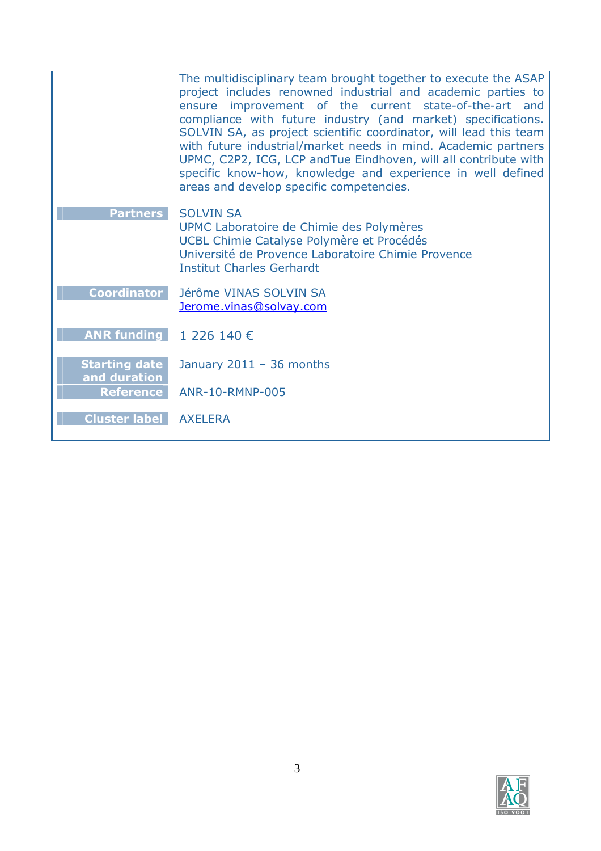|                                      | The multidisciplinary team brought together to execute the ASAP<br>project includes renowned industrial and academic parties to<br>ensure improvement of the current state-of-the-art and<br>compliance with future industry (and market) specifications.<br>SOLVIN SA, as project scientific coordinator, will lead this team<br>with future industrial/market needs in mind. Academic partners<br>UPMC, C2P2, ICG, LCP andTue Eindhoven, will all contribute with<br>specific know-how, knowledge and experience in well defined<br>areas and develop specific competencies. |
|--------------------------------------|--------------------------------------------------------------------------------------------------------------------------------------------------------------------------------------------------------------------------------------------------------------------------------------------------------------------------------------------------------------------------------------------------------------------------------------------------------------------------------------------------------------------------------------------------------------------------------|
| <b>Partners</b>                      | <b>SOLVIN SA</b><br>UPMC Laboratoire de Chimie des Polymères<br>UCBL Chimie Catalyse Polymère et Procédés<br>Université de Provence Laboratoire Chimie Provence<br><b>Institut Charles Gerhardt</b>                                                                                                                                                                                                                                                                                                                                                                            |
| <b>Coordinator</b>                   | Jérôme VINAS SOLVIN SA<br>Jerome.vinas@solvay.com                                                                                                                                                                                                                                                                                                                                                                                                                                                                                                                              |
| <b>ANR funding</b>                   | 1 226 140 €                                                                                                                                                                                                                                                                                                                                                                                                                                                                                                                                                                    |
| <b>Starting date</b><br>and duration | January $2011 - 36$ months                                                                                                                                                                                                                                                                                                                                                                                                                                                                                                                                                     |
| <b>Reference</b>                     | <b>ANR-10-RMNP-005</b>                                                                                                                                                                                                                                                                                                                                                                                                                                                                                                                                                         |
| <b>Cluster label</b>                 | <b>AXELERA</b>                                                                                                                                                                                                                                                                                                                                                                                                                                                                                                                                                                 |

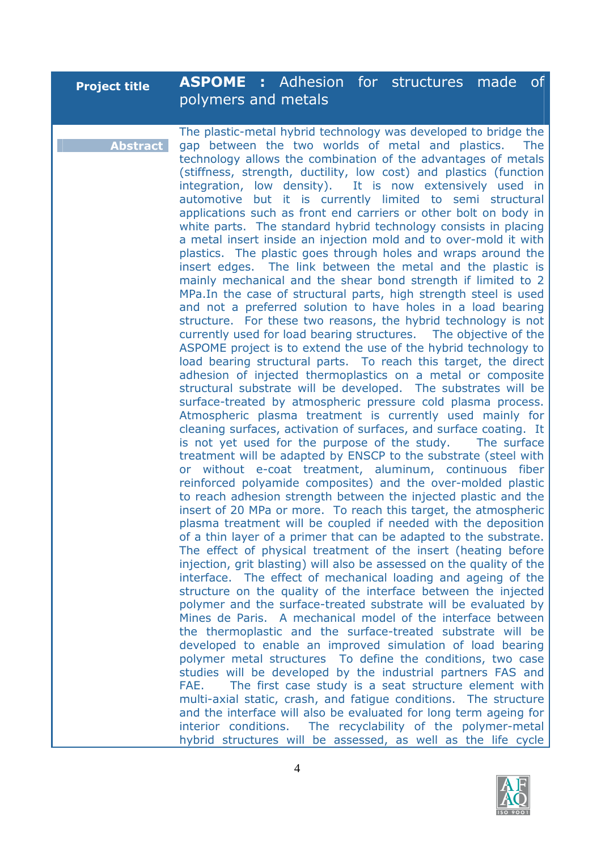| <b>Project title</b> | <b>ASPOME:</b> Adhesion for structures made of |  |  |  |
|----------------------|------------------------------------------------|--|--|--|
|                      | polymers and metals                            |  |  |  |

**Abstract** The plastic-metal hybrid technology was developed to bridge the gap between the two worlds of metal and plastics. The technology allows the combination of the advantages of metals (stiffness, strength, ductility, low cost) and plastics (function integration, low density). It is now extensively used in automotive but it is currently limited to semi structural applications such as front end carriers or other bolt on body in white parts. The standard hybrid technology consists in placing a metal insert inside an injection mold and to over-mold it with plastics. The plastic goes through holes and wraps around the insert edges. The link between the metal and the plastic is mainly mechanical and the shear bond strength if limited to 2 MPa.In the case of structural parts, high strength steel is used and not a preferred solution to have holes in a load bearing structure. For these two reasons, the hybrid technology is not currently used for load bearing structures. The objective of the ASPOME project is to extend the use of the hybrid technology to load bearing structural parts. To reach this target, the direct adhesion of injected thermoplastics on a metal or composite structural substrate will be developed. The substrates will be surface-treated by atmospheric pressure cold plasma process. Atmospheric plasma treatment is currently used mainly for cleaning surfaces, activation of surfaces, and surface coating. It is not yet used for the purpose of the study. The surface treatment will be adapted by ENSCP to the substrate (steel with or without e-coat treatment, aluminum, continuous fiber reinforced polyamide composites) and the over-molded plastic to reach adhesion strength between the injected plastic and the insert of 20 MPa or more. To reach this target, the atmospheric plasma treatment will be coupled if needed with the deposition of a thin layer of a primer that can be adapted to the substrate. The effect of physical treatment of the insert (heating before injection, grit blasting) will also be assessed on the quality of the interface. The effect of mechanical loading and ageing of the structure on the quality of the interface between the injected polymer and the surface-treated substrate will be evaluated by Mines de Paris. A mechanical model of the interface between the thermoplastic and the surface-treated substrate will be developed to enable an improved simulation of load bearing polymer metal structures To define the conditions, two case studies will be developed by the industrial partners FAS and FAE. The first case study is a seat structure element with multi-axial static, crash, and fatigue conditions. The structure and the interface will also be evaluated for long term ageing for interior conditions. The recyclability of the polymer-metal hybrid structures will be assessed, as well as the life cycle

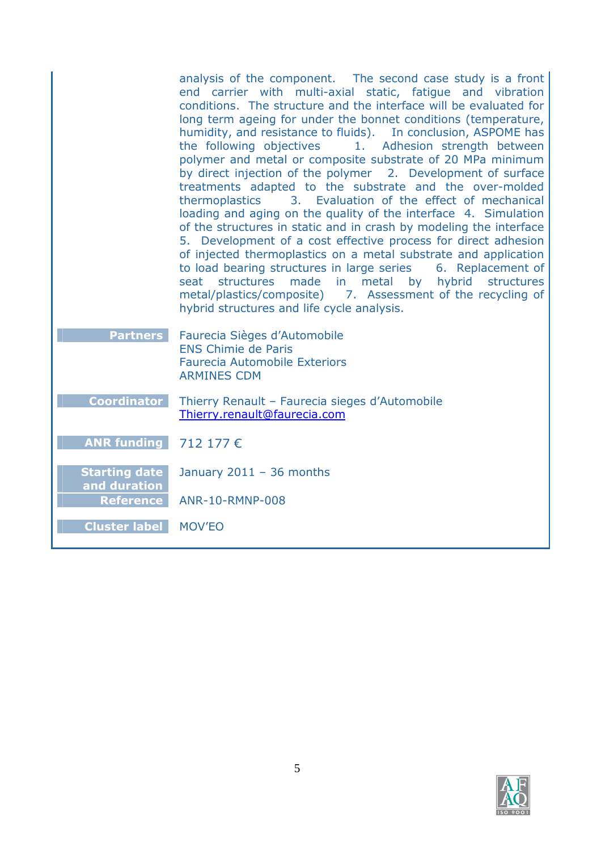|                                      | analysis of the component. The second case study is a front<br>end carrier with multi-axial static, fatique and vibration<br>conditions. The structure and the interface will be evaluated for<br>long term ageing for under the bonnet conditions (temperature,<br>humidity, and resistance to fluids).  In conclusion, ASPOME has<br>the following objectives<br>1. Adhesion strength between<br>polymer and metal or composite substrate of 20 MPa minimum<br>by direct injection of the polymer 2. Development of surface<br>treatments adapted to the substrate and the over-molded<br>3. Evaluation of the effect of mechanical<br>thermoplastics<br>loading and aging on the quality of the interface 4. Simulation<br>of the structures in static and in crash by modeling the interface<br>5. Development of a cost effective process for direct adhesion<br>of injected thermoplastics on a metal substrate and application<br>to load bearing structures in large series<br>6. Replacement of<br>seat structures<br>made<br>in in<br>metal by<br>hybrid<br>structures<br>metal/plastics/composite) 7. Assessment of the recycling of<br>hybrid structures and life cycle analysis. |
|--------------------------------------|-----------------------------------------------------------------------------------------------------------------------------------------------------------------------------------------------------------------------------------------------------------------------------------------------------------------------------------------------------------------------------------------------------------------------------------------------------------------------------------------------------------------------------------------------------------------------------------------------------------------------------------------------------------------------------------------------------------------------------------------------------------------------------------------------------------------------------------------------------------------------------------------------------------------------------------------------------------------------------------------------------------------------------------------------------------------------------------------------------------------------------------------------------------------------------------------------|
| <b>Partners</b>                      | Faurecia Sièges d'Automobile<br><b>ENS Chimie de Paris</b><br><b>Faurecia Automobile Exteriors</b><br><b>ARMINES CDM</b>                                                                                                                                                                                                                                                                                                                                                                                                                                                                                                                                                                                                                                                                                                                                                                                                                                                                                                                                                                                                                                                                      |
| <b>Coordinator</b>                   | Thierry Renault - Faurecia sieges d'Automobile<br>Thierry.renault@faurecia.com                                                                                                                                                                                                                                                                                                                                                                                                                                                                                                                                                                                                                                                                                                                                                                                                                                                                                                                                                                                                                                                                                                                |
| <b>ANR funding</b>                   | 712 177 €                                                                                                                                                                                                                                                                                                                                                                                                                                                                                                                                                                                                                                                                                                                                                                                                                                                                                                                                                                                                                                                                                                                                                                                     |
| <b>Starting date</b><br>and duration | January $2011 - 36$ months                                                                                                                                                                                                                                                                                                                                                                                                                                                                                                                                                                                                                                                                                                                                                                                                                                                                                                                                                                                                                                                                                                                                                                    |
| <b>Reference</b>                     | <b>ANR-10-RMNP-008</b>                                                                                                                                                                                                                                                                                                                                                                                                                                                                                                                                                                                                                                                                                                                                                                                                                                                                                                                                                                                                                                                                                                                                                                        |
| <b>Cluster label</b>                 | <b>MOV'EO</b>                                                                                                                                                                                                                                                                                                                                                                                                                                                                                                                                                                                                                                                                                                                                                                                                                                                                                                                                                                                                                                                                                                                                                                                 |

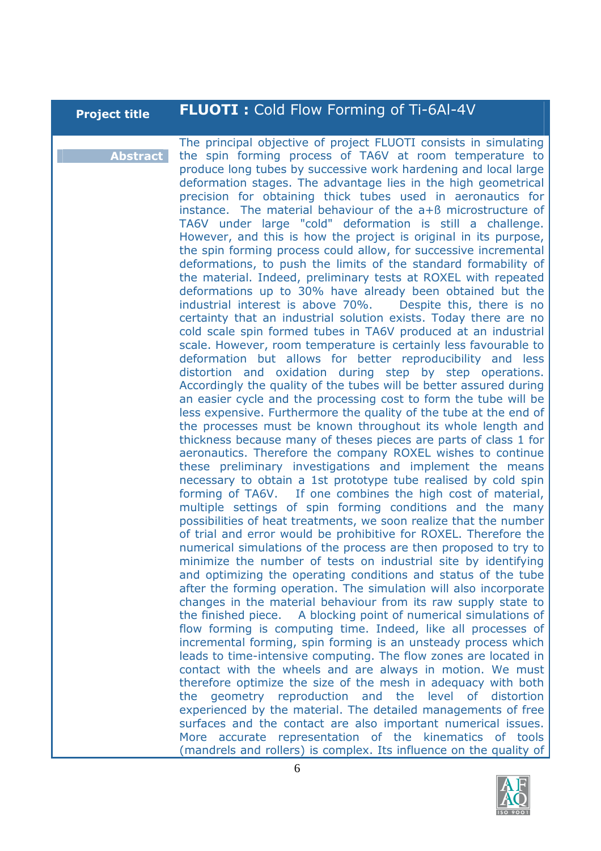## **Project title FLUOTI :** Cold Flow Forming of Ti-6Al-4V

**Abstract** The principal objective of project FLUOTI consists in simulating the spin forming process of TA6V at room temperature to produce long tubes by successive work hardening and local large deformation stages. The advantage lies in the high geometrical precision for obtaining thick tubes used in aeronautics for instance. The material behaviour of the a+ß microstructure of TA6V under large "cold" deformation is still a challenge. However, and this is how the project is original in its purpose, the spin forming process could allow, for successive incremental deformations, to push the limits of the standard formability of the material. Indeed, preliminary tests at ROXEL with repeated deformations up to 30% have already been obtained but the industrial interest is above 70%. Despite this, there is no certainty that an industrial solution exists. Today there are no cold scale spin formed tubes in TA6V produced at an industrial scale. However, room temperature is certainly less favourable to deformation but allows for better reproducibility and less distortion and oxidation during step by step operations. Accordingly the quality of the tubes will be better assured during an easier cycle and the processing cost to form the tube will be less expensive. Furthermore the quality of the tube at the end of the processes must be known throughout its whole length and thickness because many of theses pieces are parts of class 1 for aeronautics. Therefore the company ROXEL wishes to continue these preliminary investigations and implement the means necessary to obtain a 1st prototype tube realised by cold spin forming of TA6V. If one combines the high cost of material, multiple settings of spin forming conditions and the many possibilities of heat treatments, we soon realize that the number of trial and error would be prohibitive for ROXEL. Therefore the numerical simulations of the process are then proposed to try to minimize the number of tests on industrial site by identifying and optimizing the operating conditions and status of the tube after the forming operation. The simulation will also incorporate changes in the material behaviour from its raw supply state to the finished piece. A blocking point of numerical simulations of flow forming is computing time. Indeed, like all processes of incremental forming, spin forming is an unsteady process which leads to time-intensive computing. The flow zones are located in contact with the wheels and are always in motion. We must therefore optimize the size of the mesh in adequacy with both the geometry reproduction and the level of distortion experienced by the material. The detailed managements of free surfaces and the contact are also important numerical issues. More accurate representation of the kinematics of tools (mandrels and rollers) is complex. Its influence on the quality of

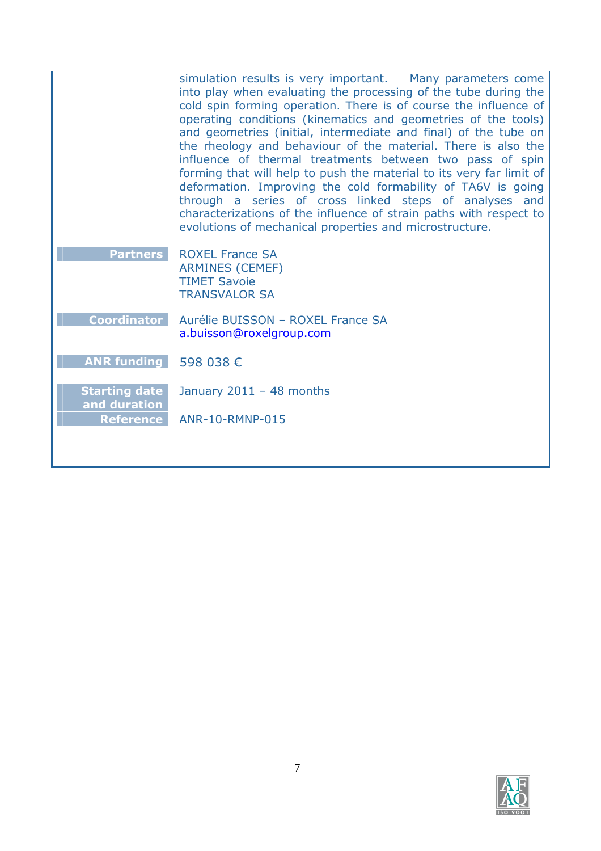|                                      | simulation results is very important. Many parameters come<br>into play when evaluating the processing of the tube during the<br>cold spin forming operation. There is of course the influence of<br>operating conditions (kinematics and geometries of the tools)<br>and geometries (initial, intermediate and final) of the tube on<br>the rheology and behaviour of the material. There is also the<br>influence of thermal treatments between two pass of spin<br>forming that will help to push the material to its very far limit of<br>deformation. Improving the cold formability of TA6V is going<br>through a series of cross linked steps of analyses and<br>characterizations of the influence of strain paths with respect to<br>evolutions of mechanical properties and microstructure. |
|--------------------------------------|-------------------------------------------------------------------------------------------------------------------------------------------------------------------------------------------------------------------------------------------------------------------------------------------------------------------------------------------------------------------------------------------------------------------------------------------------------------------------------------------------------------------------------------------------------------------------------------------------------------------------------------------------------------------------------------------------------------------------------------------------------------------------------------------------------|
| <b>Partners</b>                      | <b>ROXEL France SA</b><br><b>ARMINES (CEMEF)</b><br><b>TIMET Savoie</b><br><b>TRANSVALOR SA</b>                                                                                                                                                                                                                                                                                                                                                                                                                                                                                                                                                                                                                                                                                                       |
| <b>Coordinator</b>                   | Aurélie BUISSON - ROXEL France SA<br>a.buisson@roxelgroup.com                                                                                                                                                                                                                                                                                                                                                                                                                                                                                                                                                                                                                                                                                                                                         |
| ANR funding $\overline{598038 \in}$  |                                                                                                                                                                                                                                                                                                                                                                                                                                                                                                                                                                                                                                                                                                                                                                                                       |
| <b>Starting date</b><br>and duration | January $2011 - 48$ months                                                                                                                                                                                                                                                                                                                                                                                                                                                                                                                                                                                                                                                                                                                                                                            |
| <b>Reference</b>                     | ANR-10-RMNP-015                                                                                                                                                                                                                                                                                                                                                                                                                                                                                                                                                                                                                                                                                                                                                                                       |
|                                      |                                                                                                                                                                                                                                                                                                                                                                                                                                                                                                                                                                                                                                                                                                                                                                                                       |

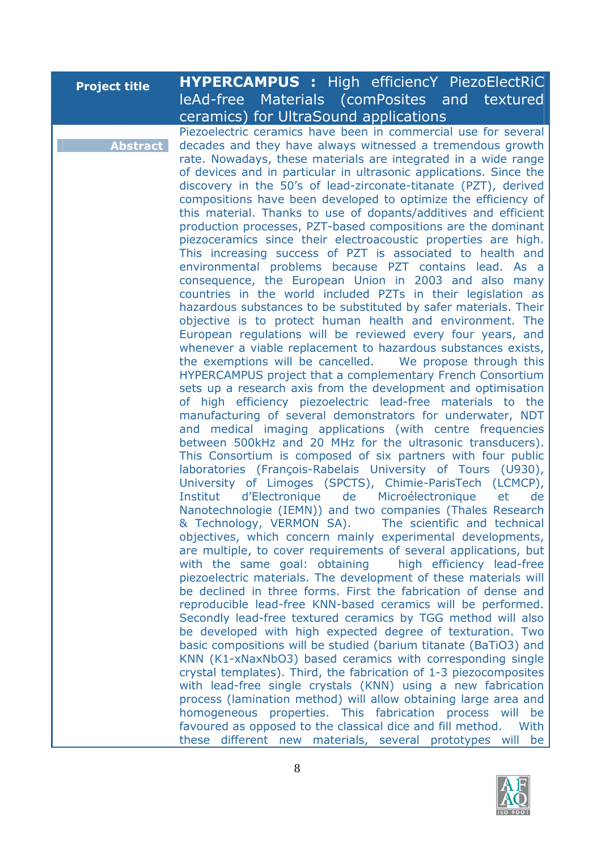| <b>Project title</b> | <b>HYPERCAMPUS :</b> High efficiencY PiezoElectRiC                                                                                |
|----------------------|-----------------------------------------------------------------------------------------------------------------------------------|
|                      | leAd-free Materials (comPosites and textured                                                                                      |
|                      | ceramics) for UltraSound applications                                                                                             |
|                      | Piezoelectric ceramics have been in commercial use for several                                                                    |
| <b>Abstract</b>      | decades and they have always witnessed a tremendous growth                                                                        |
|                      | rate. Nowadays, these materials are integrated in a wide range                                                                    |
|                      | of devices and in particular in ultrasonic applications. Since the                                                                |
|                      | discovery in the 50's of lead-zirconate-titanate (PZT), derived<br>compositions have been developed to optimize the efficiency of |
|                      | this material. Thanks to use of dopants/additives and efficient                                                                   |
|                      | production processes, PZT-based compositions are the dominant                                                                     |
|                      | piezoceramics since their electroacoustic properties are high.                                                                    |
|                      | This increasing success of PZT is associated to health and                                                                        |
|                      | environmental problems because PZT contains lead. As a                                                                            |
|                      | consequence, the European Union in 2003 and also many                                                                             |
|                      | countries in the world included PZTs in their legislation as<br>hazardous substances to be substituted by safer materials. Their  |
|                      | objective is to protect human health and environment. The                                                                         |
|                      | European regulations will be reviewed every four years, and                                                                       |
|                      | whenever a viable replacement to hazardous substances exists,                                                                     |
|                      | the exemptions will be cancelled. We propose through this                                                                         |
|                      | HYPERCAMPUS project that a complementary French Consortium                                                                        |
|                      | sets up a research axis from the development and optimisation                                                                     |
|                      | of high efficiency piezoelectric lead-free materials to the<br>manufacturing of several demonstrators for underwater, NDT         |
|                      | and medical imaging applications (with centre frequencies                                                                         |
|                      | between 500kHz and 20 MHz for the ultrasonic transducers).                                                                        |
|                      | This Consortium is composed of six partners with four public                                                                      |
|                      | laboratories (François-Rabelais University of Tours (U930),                                                                       |
|                      | University of Limoges (SPCTS), Chimie-ParisTech (LCMCP),                                                                          |
|                      | Microélectronique<br>d'Electronique de<br>Institut<br>et<br>de                                                                    |
|                      | Nanotechnologie (IEMN)) and two companies (Thales Research<br>& Technology, VERMON SA).<br>The scientific and technical           |
|                      | objectives, which concern mainly experimental developments,                                                                       |
|                      | are multiple, to cover requirements of several applications, but                                                                  |
|                      | with the same goal: obtaining high efficiency lead-free                                                                           |
|                      | piezoelectric materials. The development of these materials will                                                                  |
|                      | be declined in three forms. First the fabrication of dense and                                                                    |
|                      | reproducible lead-free KNN-based ceramics will be performed.                                                                      |
|                      | Secondly lead-free textured ceramics by TGG method will also                                                                      |
|                      | be developed with high expected degree of texturation. Two<br>basic compositions will be studied (barium titanate (BaTiO3) and    |
|                      | KNN (K1-xNaxNbO3) based ceramics with corresponding single                                                                        |
|                      | crystal templates). Third, the fabrication of 1-3 piezocomposites                                                                 |
|                      | with lead-free single crystals (KNN) using a new fabrication                                                                      |
|                      | process (lamination method) will allow obtaining large area and                                                                   |
|                      | homogeneous properties. This fabrication process will<br>be                                                                       |
|                      | favoured as opposed to the classical dice and fill method.<br>With                                                                |
|                      | these different new materials, several prototypes will be                                                                         |

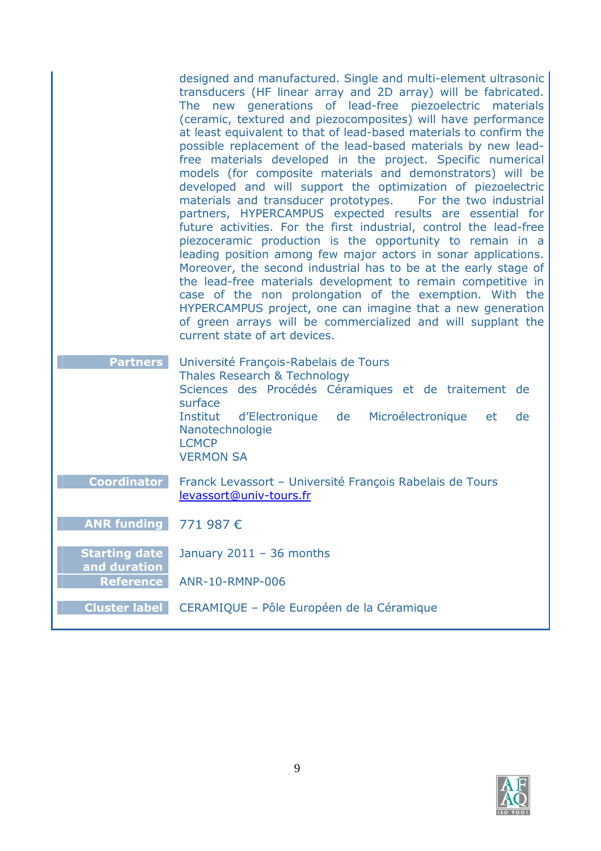|                                        | designed and manufactured. Single and multi-element ultrasonic<br>transducers (HF linear array and 2D array) will be fabricated.<br>The new generations of lead-free piezoelectric materials<br>(ceramic, textured and piezocomposites) will have performance<br>at least equivalent to that of lead-based materials to confirm the<br>possible replacement of the lead-based materials by new lead-<br>free materials developed in the project. Specific numerical<br>models (for composite materials and demonstrators) will be<br>developed and will support the optimization of piezoelectric<br>materials and transducer prototypes. For the two industrial<br>partners, HYPERCAMPUS expected results are essential for<br>future activities. For the first industrial, control the lead-free<br>piezoceramic production is the opportunity to remain in a<br>leading position among few major actors in sonar applications.<br>Moreover, the second industrial has to be at the early stage of<br>the lead-free materials development to remain competitive in<br>case of the non prolongation of the exemption. With the<br>HYPERCAMPUS project, one can imagine that a new generation<br>of green arrays will be commercialized and will supplant the<br>current state of art devices. |
|----------------------------------------|------------------------------------------------------------------------------------------------------------------------------------------------------------------------------------------------------------------------------------------------------------------------------------------------------------------------------------------------------------------------------------------------------------------------------------------------------------------------------------------------------------------------------------------------------------------------------------------------------------------------------------------------------------------------------------------------------------------------------------------------------------------------------------------------------------------------------------------------------------------------------------------------------------------------------------------------------------------------------------------------------------------------------------------------------------------------------------------------------------------------------------------------------------------------------------------------------------------------------------------------------------------------------------------------|
| <b>Partners</b>                        | Université François-Rabelais de Tours<br>Thales Research & Technology<br>Sciences des Procédés Céramiques et de traitement de<br>surface<br>de<br>Institut d'Electronique<br>Microélectronique<br>et<br>de<br>Nanotechnologie<br><b>LCMCP</b><br><b>VERMON SA</b>                                                                                                                                                                                                                                                                                                                                                                                                                                                                                                                                                                                                                                                                                                                                                                                                                                                                                                                                                                                                                              |
| <b>Coordinator</b>                     | Franck Levassort - Université François Rabelais de Tours<br>levassort@univ-tours.fr                                                                                                                                                                                                                                                                                                                                                                                                                                                                                                                                                                                                                                                                                                                                                                                                                                                                                                                                                                                                                                                                                                                                                                                                            |
| ANR funding $\overline{771}$ 987 $\in$ |                                                                                                                                                                                                                                                                                                                                                                                                                                                                                                                                                                                                                                                                                                                                                                                                                                                                                                                                                                                                                                                                                                                                                                                                                                                                                                |
| <b>Starting date</b><br>and duration   | January $2011 - 36$ months                                                                                                                                                                                                                                                                                                                                                                                                                                                                                                                                                                                                                                                                                                                                                                                                                                                                                                                                                                                                                                                                                                                                                                                                                                                                     |
| <b>Reference</b>                       | ANR-10-RMNP-006                                                                                                                                                                                                                                                                                                                                                                                                                                                                                                                                                                                                                                                                                                                                                                                                                                                                                                                                                                                                                                                                                                                                                                                                                                                                                |
| <b>Cluster label</b>                   | CERAMIQUE - Pôle Européen de la Céramique                                                                                                                                                                                                                                                                                                                                                                                                                                                                                                                                                                                                                                                                                                                                                                                                                                                                                                                                                                                                                                                                                                                                                                                                                                                      |

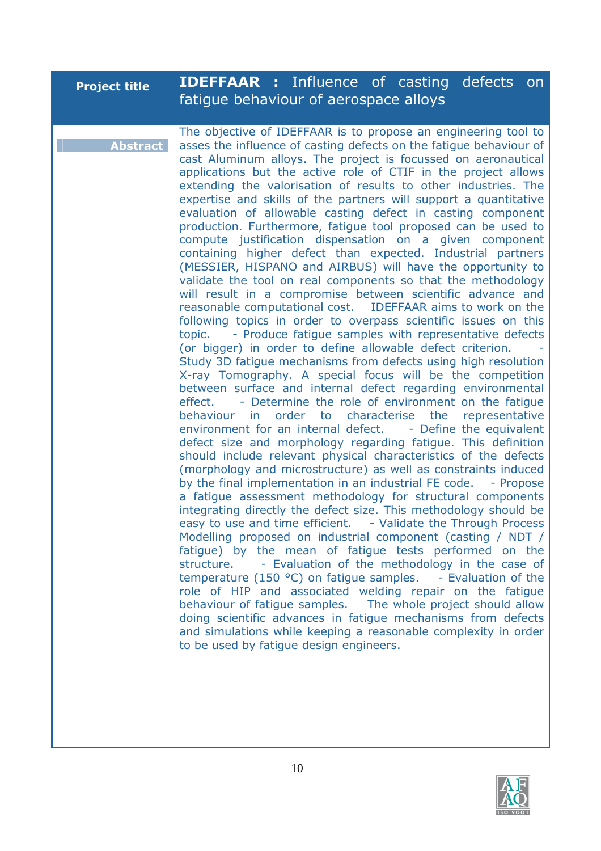| <b>Project title</b> | <b>IDEFFAAR :</b> Influence of casting defects on<br>fatigue behaviour of aerospace alloys                                                                                                                                                                                                                                                                                                                                                                                                                                                                                                                                                                                                                                                                                                                                                                                                                                                                                                                                                                                                                                                                                                                                                                                                                                                                                                                                                                                                                                                                                                                                                                                                                                                                                                                                                                                                                                                                                                                                                                                                                                                                                                                                                                                                                                                                                                                                                                                                                                                                                                     |
|----------------------|------------------------------------------------------------------------------------------------------------------------------------------------------------------------------------------------------------------------------------------------------------------------------------------------------------------------------------------------------------------------------------------------------------------------------------------------------------------------------------------------------------------------------------------------------------------------------------------------------------------------------------------------------------------------------------------------------------------------------------------------------------------------------------------------------------------------------------------------------------------------------------------------------------------------------------------------------------------------------------------------------------------------------------------------------------------------------------------------------------------------------------------------------------------------------------------------------------------------------------------------------------------------------------------------------------------------------------------------------------------------------------------------------------------------------------------------------------------------------------------------------------------------------------------------------------------------------------------------------------------------------------------------------------------------------------------------------------------------------------------------------------------------------------------------------------------------------------------------------------------------------------------------------------------------------------------------------------------------------------------------------------------------------------------------------------------------------------------------------------------------------------------------------------------------------------------------------------------------------------------------------------------------------------------------------------------------------------------------------------------------------------------------------------------------------------------------------------------------------------------------------------------------------------------------------------------------------------------------|
| <b>Abstract</b>      | The objective of IDEFFAAR is to propose an engineering tool to<br>asses the influence of casting defects on the fatigue behaviour of<br>cast Aluminum alloys. The project is focussed on aeronautical<br>applications but the active role of CTIF in the project allows<br>extending the valorisation of results to other industries. The<br>expertise and skills of the partners will support a quantitative<br>evaluation of allowable casting defect in casting component<br>production. Furthermore, fatigue tool proposed can be used to<br>compute justification dispensation on a given component<br>containing higher defect than expected. Industrial partners<br>(MESSIER, HISPANO and AIRBUS) will have the opportunity to<br>validate the tool on real components so that the methodology<br>will result in a compromise between scientific advance and<br>reasonable computational cost. IDEFFAAR aims to work on the<br>following topics in order to overpass scientific issues on this<br>- Produce fatigue samples with representative defects<br>topic.<br>(or bigger) in order to define allowable defect criterion.<br>Study 3D fatigue mechanisms from defects using high resolution<br>X-ray Tomography. A special focus will be the competition<br>between surface and internal defect regarding environmental<br>- Determine the role of environment on the fatigue<br>effect.<br>behaviour in order to characterise<br>the<br>representative<br>environment for an internal defect. - Define the equivalent<br>defect size and morphology regarding fatigue. This definition<br>should include relevant physical characteristics of the defects<br>(morphology and microstructure) as well as constraints induced<br>by the final implementation in an industrial FE code.<br>- Propose<br>a fatigue assessment methodology for structural components<br>integrating directly the defect size. This methodology should be<br>easy to use and time efficient. - Validate the Through Process<br>Modelling proposed on industrial component (casting / NDT /<br>fatigue) by the mean of fatigue tests performed on the<br>- Evaluation of the methodology in the case of<br>structure.<br>temperature (150 $\degree$ C) on fatigue samples. - Evaluation of the<br>role of HIP and associated welding repair on the fatigue<br>behaviour of fatigue samples. The whole project should allow<br>doing scientific advances in fatigue mechanisms from defects<br>and simulations while keeping a reasonable complexity in order<br>to be used by fatigue design engineers. |

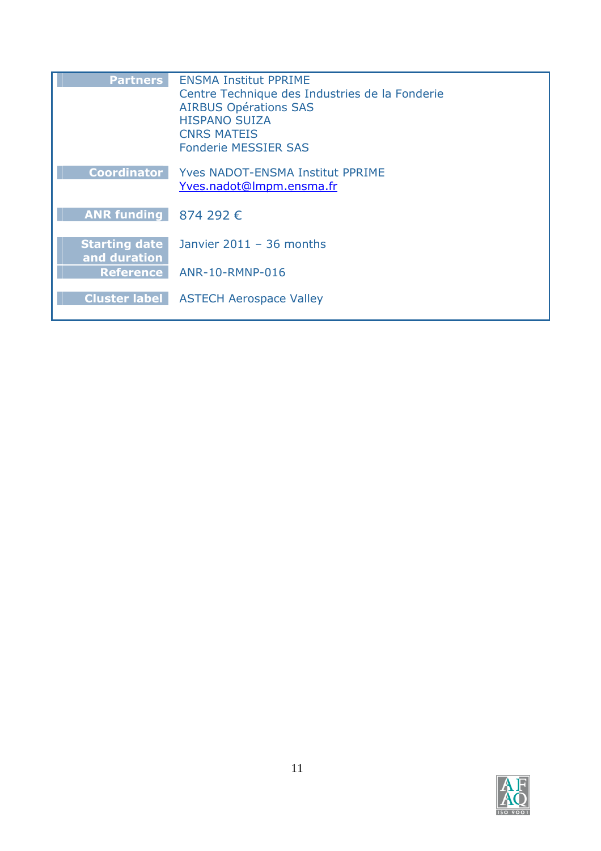| <b>Partners</b>                      | <b>ENSMA Institut PPRIME</b><br>Centre Technique des Industries de la Fonderie<br><b>AIRBUS Opérations SAS</b><br><b>HISPANO SUIZA</b><br><b>CNRS MATEIS</b><br><b>Fonderie MESSIER SAS</b> |
|--------------------------------------|---------------------------------------------------------------------------------------------------------------------------------------------------------------------------------------------|
| <b>Coordinator</b>                   | <b>Yves NADOT-ENSMA Institut PPRIME</b><br>Yves.nadot@Impm.ensma.fr                                                                                                                         |
| ANR funding $874292 \in$             |                                                                                                                                                                                             |
| <b>Starting date</b><br>and duration | Janvier $2011 - 36$ months                                                                                                                                                                  |
| <b>Reference</b>                     | ANR-10-RMNP-016                                                                                                                                                                             |
| <b>Cluster label</b>                 | <b>ASTECH Aerospace Valley</b>                                                                                                                                                              |

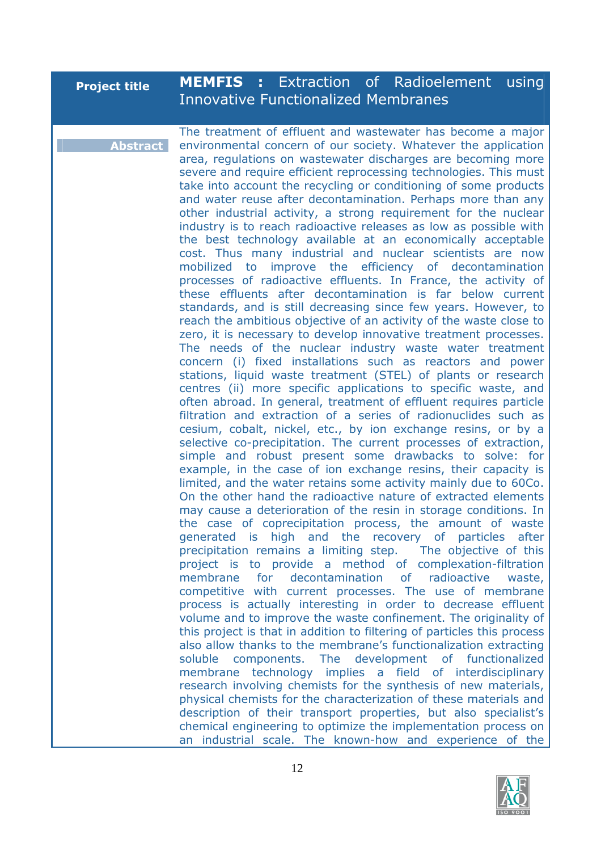| <b>Project title</b> | <b>MEMFIS</b> : Extraction of Radioelement using<br><b>Innovative Functionalized Membranes</b>                                                                                                                                                                                                                                                                                                                                                                                                                                                                                                                                                                                                                                                                                                                                                                                                                                                                                                                                                                                                                                                                                                                                                                                                                                                                                                                                                                                                                                                                                                                                                                                                                                                                                                                                                                                                                                                                                                                                                                                                                                                                                                                                                                                                                                                                                                                                                                                                                                                                                                                                                                                                                                                                                                                                                                                                 |
|----------------------|------------------------------------------------------------------------------------------------------------------------------------------------------------------------------------------------------------------------------------------------------------------------------------------------------------------------------------------------------------------------------------------------------------------------------------------------------------------------------------------------------------------------------------------------------------------------------------------------------------------------------------------------------------------------------------------------------------------------------------------------------------------------------------------------------------------------------------------------------------------------------------------------------------------------------------------------------------------------------------------------------------------------------------------------------------------------------------------------------------------------------------------------------------------------------------------------------------------------------------------------------------------------------------------------------------------------------------------------------------------------------------------------------------------------------------------------------------------------------------------------------------------------------------------------------------------------------------------------------------------------------------------------------------------------------------------------------------------------------------------------------------------------------------------------------------------------------------------------------------------------------------------------------------------------------------------------------------------------------------------------------------------------------------------------------------------------------------------------------------------------------------------------------------------------------------------------------------------------------------------------------------------------------------------------------------------------------------------------------------------------------------------------------------------------------------------------------------------------------------------------------------------------------------------------------------------------------------------------------------------------------------------------------------------------------------------------------------------------------------------------------------------------------------------------------------------------------------------------------------------------------------------------|
| <b>Abstract</b>      | The treatment of effluent and wastewater has become a major<br>environmental concern of our society. Whatever the application<br>area, regulations on wastewater discharges are becoming more<br>severe and require efficient reprocessing technologies. This must<br>take into account the recycling or conditioning of some products<br>and water reuse after decontamination. Perhaps more than any<br>other industrial activity, a strong requirement for the nuclear<br>industry is to reach radioactive releases as low as possible with<br>the best technology available at an economically acceptable<br>cost. Thus many industrial and nuclear scientists are now<br>mobilized to improve the efficiency of decontamination<br>processes of radioactive effluents. In France, the activity of<br>these effluents after decontamination is far below current<br>standards, and is still decreasing since few years. However, to<br>reach the ambitious objective of an activity of the waste close to<br>zero, it is necessary to develop innovative treatment processes.<br>The needs of the nuclear industry waste water treatment<br>concern (i) fixed installations such as reactors and power<br>stations, liquid waste treatment (STEL) of plants or research<br>centres (ii) more specific applications to specific waste, and<br>often abroad. In general, treatment of effluent requires particle<br>filtration and extraction of a series of radionuclides such as<br>cesium, cobalt, nickel, etc., by ion exchange resins, or by a<br>selective co-precipitation. The current processes of extraction,<br>simple and robust present some drawbacks to solve: for<br>example, in the case of ion exchange resins, their capacity is<br>limited, and the water retains some activity mainly due to 60Co.<br>On the other hand the radioactive nature of extracted elements<br>may cause a deterioration of the resin in storage conditions. In<br>the case of coprecipitation process, the amount of waste<br>generated is high and the recovery of particles after<br>precipitation remains a limiting step. The objective of this<br>project is to provide a method of complexation-filtration<br>membrane<br>for<br>decontamination<br>of radioactive<br>waste,<br>competitive with current processes. The use of membrane<br>process is actually interesting in order to decrease effluent<br>volume and to improve the waste confinement. The originality of<br>this project is that in addition to filtering of particles this process<br>also allow thanks to the membrane's functionalization extracting<br>soluble components. The development of functionalized<br>membrane technology implies a field of interdisciplinary<br>research involving chemists for the synthesis of new materials,<br>physical chamists for the characterization of these materials and |

physical chemists for the characterization of these materials and description of their transport properties, but also specialist's chemical engineering to optimize the implementation process on an industrial scale. The known-how and experience of the

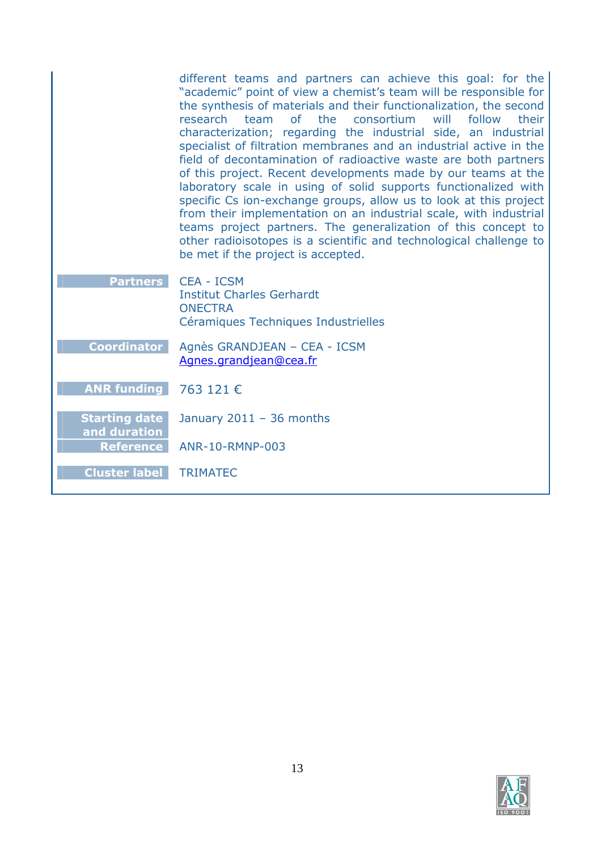|                                      | different teams and partners can achieve this goal: for the<br>"academic" point of view a chemist's team will be responsible for<br>the synthesis of materials and their functionalization, the second<br>of<br>the<br>consortium<br>will<br>follow<br>research<br>team<br>their<br>characterization; regarding the industrial side, an industrial<br>specialist of filtration membranes and an industrial active in the<br>field of decontamination of radioactive waste are both partners<br>of this project. Recent developments made by our teams at the<br>laboratory scale in using of solid supports functionalized with<br>specific Cs ion-exchange groups, allow us to look at this project<br>from their implementation on an industrial scale, with industrial<br>teams project partners. The generalization of this concept to<br>other radioisotopes is a scientific and technological challenge to<br>be met if the project is accepted. |
|--------------------------------------|--------------------------------------------------------------------------------------------------------------------------------------------------------------------------------------------------------------------------------------------------------------------------------------------------------------------------------------------------------------------------------------------------------------------------------------------------------------------------------------------------------------------------------------------------------------------------------------------------------------------------------------------------------------------------------------------------------------------------------------------------------------------------------------------------------------------------------------------------------------------------------------------------------------------------------------------------------|
| <b>Partners</b>                      | <b>CEA - ICSM</b><br><b>Institut Charles Gerhardt</b><br><b>ONECTRA</b><br>Céramiques Techniques Industrielles                                                                                                                                                                                                                                                                                                                                                                                                                                                                                                                                                                                                                                                                                                                                                                                                                                         |
| <b>Coordinator</b>                   | Agnès GRANDJEAN - CEA - ICSM<br>Agnes.grandjean@cea.fr                                                                                                                                                                                                                                                                                                                                                                                                                                                                                                                                                                                                                                                                                                                                                                                                                                                                                                 |
| <b>ANR funding</b>                   | 763 121 €                                                                                                                                                                                                                                                                                                                                                                                                                                                                                                                                                                                                                                                                                                                                                                                                                                                                                                                                              |
| <b>Starting date</b><br>and duration | January $2011 - 36$ months                                                                                                                                                                                                                                                                                                                                                                                                                                                                                                                                                                                                                                                                                                                                                                                                                                                                                                                             |
| <b>Reference</b>                     | ANR-10-RMNP-003                                                                                                                                                                                                                                                                                                                                                                                                                                                                                                                                                                                                                                                                                                                                                                                                                                                                                                                                        |
| <b>Cluster label</b>                 | <b>TRIMATEC</b>                                                                                                                                                                                                                                                                                                                                                                                                                                                                                                                                                                                                                                                                                                                                                                                                                                                                                                                                        |

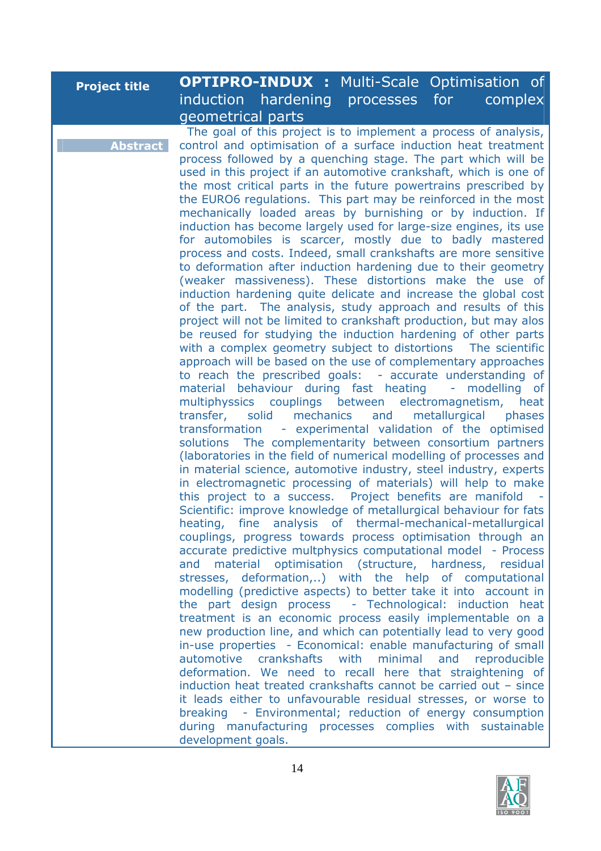| <b>Project title</b> |                   | <b>OPTIPRO-INDUX :</b> Multi-Scale Optimisation of              |         |  |
|----------------------|-------------------|-----------------------------------------------------------------|---------|--|
|                      |                   | induction hardening processes for                               | complex |  |
|                      | geometrical parts |                                                                 |         |  |
|                      |                   | The goal of this project is to implement a process of analysis, |         |  |

**Abstract**

control and optimisation of a surface induction heat treatment process followed by a quenching stage. The part which will be used in this project if an automotive crankshaft, which is one of the most critical parts in the future powertrains prescribed by the EURO6 regulations. This part may be reinforced in the most mechanically loaded areas by burnishing or by induction. If induction has become largely used for large-size engines, its use for automobiles is scarcer, mostly due to badly mastered process and costs. Indeed, small crankshafts are more sensitive to deformation after induction hardening due to their geometry (weaker massiveness). These distortions make the use of induction hardening quite delicate and increase the global cost of the part. The analysis, study approach and results of this project will not be limited to crankshaft production, but may alos be reused for studying the induction hardening of other parts with a complex geometry subject to distortions The scientific approach will be based on the use of complementary approaches to reach the prescribed goals: - accurate understanding of material behaviour during fast heating - modelling of multiphyssics couplings between electromagnetism, heat transfer, solid mechanics and metallurgical phases transformation - experimental validation of the optimised solutions The complementarity between consortium partners (laboratories in the field of numerical modelling of processes and in material science, automotive industry, steel industry, experts in electromagnetic processing of materials) will help to make this project to a success. Project benefits are manifold Scientific: improve knowledge of metallurgical behaviour for fats heating, fine analysis of thermal-mechanical-metallurgical couplings, progress towards process optimisation through an accurate predictive multphysics computational model - Process and material optimisation (structure, hardness, residual stresses, deformation,..) with the help of computational modelling (predictive aspects) to better take it into account in the part design process - Technological: induction heat treatment is an economic process easily implementable on a new production line, and which can potentially lead to very good in-use properties - Economical: enable manufacturing of small automotive crankshafts with minimal and reproducible deformation. We need to recall here that straightening of induction heat treated crankshafts cannot be carried out – since it leads either to unfavourable residual stresses, or worse to breaking - Environmental; reduction of energy consumption during manufacturing processes complies with sustainable development goals.

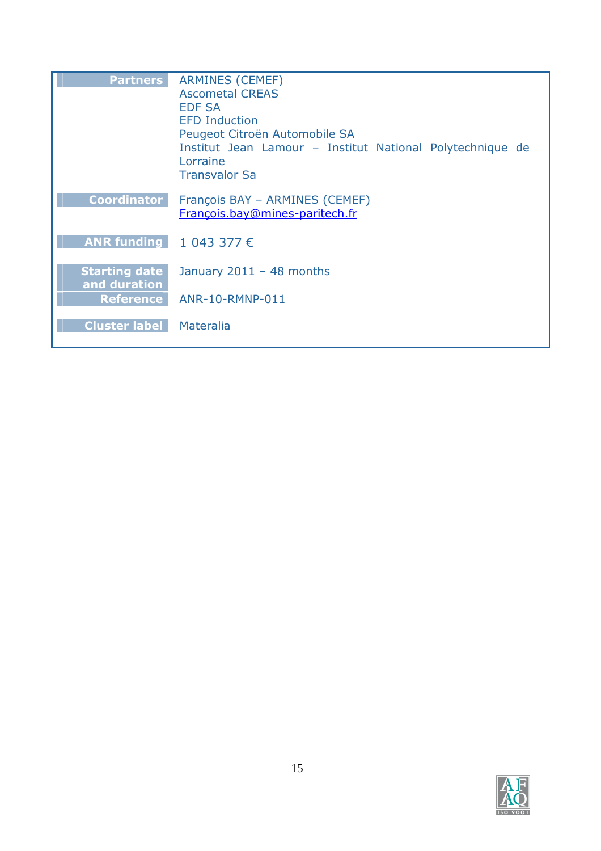| <b>Partners</b>           | <b>ARMINES (CEMEF)</b>                                    |
|---------------------------|-----------------------------------------------------------|
|                           | <b>Ascometal CREAS</b>                                    |
|                           | <b>EDF SA</b>                                             |
|                           | <b>EFD Induction</b>                                      |
|                           | Peugeot Citroën Automobile SA                             |
|                           | Institut Jean Lamour - Institut National Polytechnique de |
|                           | Lorraine                                                  |
|                           | <b>Transvalor Sa</b>                                      |
| <b>Coordinator</b>        | François BAY - ARMINES (CEMEF)                            |
|                           | François.bay@mines-paritech.fr                            |
|                           |                                                           |
| ANR funding $1043377 \in$ |                                                           |
|                           |                                                           |
| <b>Starting date</b>      | January $2011 - 48$ months                                |
| and duration              |                                                           |
| <b>Reference</b>          | ANR-10-RMNP-011                                           |
|                           |                                                           |
| <b>Cluster label</b>      | Materalia                                                 |
|                           |                                                           |

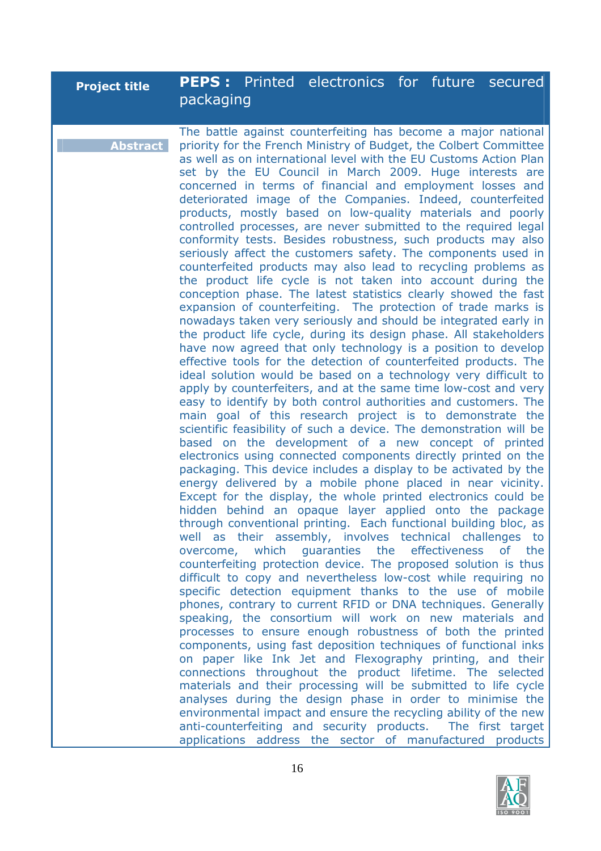### **Project title PEPS :** Printed electronics for future secured packaging

**Abstract** The battle against counterfeiting has become a major national priority for the French Ministry of Budget, the Colbert Committee as well as on international level with the EU Customs Action Plan set by the EU Council in March 2009. Huge interests are concerned in terms of financial and employment losses and deteriorated image of the Companies. Indeed, counterfeited products, mostly based on low-quality materials and poorly controlled processes, are never submitted to the required legal conformity tests. Besides robustness, such products may also seriously affect the customers safety. The components used in counterfeited products may also lead to recycling problems as the product life cycle is not taken into account during the conception phase. The latest statistics clearly showed the fast expansion of counterfeiting. The protection of trade marks is nowadays taken very seriously and should be integrated early in the product life cycle, during its design phase. All stakeholders have now agreed that only technology is a position to develop effective tools for the detection of counterfeited products. The ideal solution would be based on a technology very difficult to apply by counterfeiters, and at the same time low-cost and very easy to identify by both control authorities and customers. The main goal of this research project is to demonstrate the scientific feasibility of such a device. The demonstration will be based on the development of a new concept of printed electronics using connected components directly printed on the packaging. This device includes a display to be activated by the energy delivered by a mobile phone placed in near vicinity. Except for the display, the whole printed electronics could be hidden behind an opaque layer applied onto the package through conventional printing. Each functional building bloc, as well as their assembly, involves technical challenges to overcome, which guaranties the effectiveness of the counterfeiting protection device. The proposed solution is thus difficult to copy and nevertheless low-cost while requiring no specific detection equipment thanks to the use of mobile phones, contrary to current RFID or DNA techniques. Generally speaking, the consortium will work on new materials and processes to ensure enough robustness of both the printed components, using fast deposition techniques of functional inks on paper like Ink Jet and Flexography printing, and their connections throughout the product lifetime. The selected materials and their processing will be submitted to life cycle analyses during the design phase in order to minimise the environmental impact and ensure the recycling ability of the new anti-counterfeiting and security products. The first target applications address the sector of manufactured products

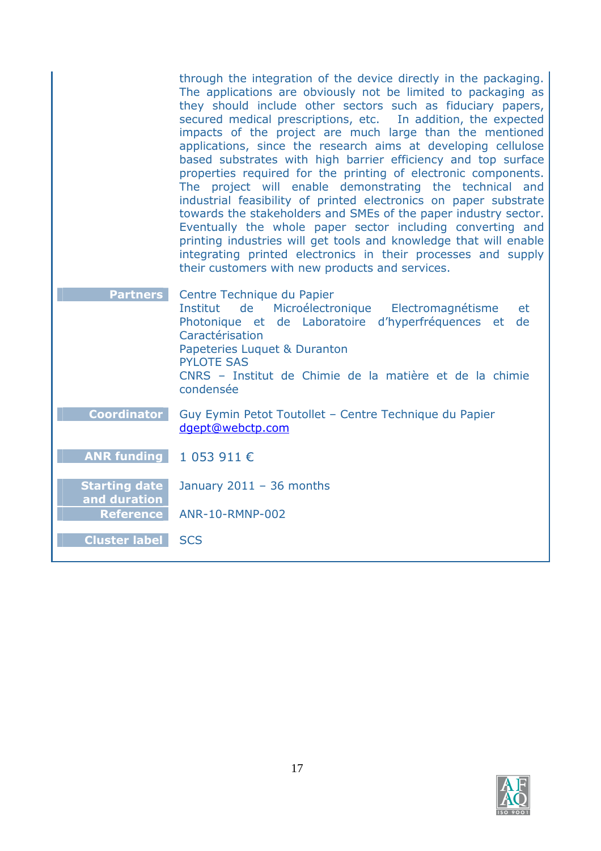|                                                          | through the integration of the device directly in the packaging.<br>The applications are obviously not be limited to packaging as<br>they should include other sectors such as fiduciary papers,<br>secured medical prescriptions, etc. In addition, the expected<br>impacts of the project are much large than the mentioned<br>applications, since the research aims at developing cellulose<br>based substrates with high barrier efficiency and top surface<br>properties required for the printing of electronic components.<br>The project will enable demonstrating the technical and<br>industrial feasibility of printed electronics on paper substrate<br>towards the stakeholders and SMEs of the paper industry sector.<br>Eventually the whole paper sector including converting and<br>printing industries will get tools and knowledge that will enable<br>integrating printed electronics in their processes and supply<br>their customers with new products and services. |
|----------------------------------------------------------|--------------------------------------------------------------------------------------------------------------------------------------------------------------------------------------------------------------------------------------------------------------------------------------------------------------------------------------------------------------------------------------------------------------------------------------------------------------------------------------------------------------------------------------------------------------------------------------------------------------------------------------------------------------------------------------------------------------------------------------------------------------------------------------------------------------------------------------------------------------------------------------------------------------------------------------------------------------------------------------------|
| <b>Partners</b>                                          | Centre Technique du Papier<br>Microélectronique<br>Electromagnétisme<br>Institut<br>de<br>et<br>Photonique et de Laboratoire d'hyperfréquences et<br>de<br>Caractérisation<br>Papeteries Luquet & Duranton<br><b>PYLOTE SAS</b><br>CNRS - Institut de Chimie de la matière et de la chimie<br>condensée                                                                                                                                                                                                                                                                                                                                                                                                                                                                                                                                                                                                                                                                                    |
| <b>Coordinator</b>                                       | Guy Eymin Petot Toutollet - Centre Technique du Papier<br>dgept@webctp.com                                                                                                                                                                                                                                                                                                                                                                                                                                                                                                                                                                                                                                                                                                                                                                                                                                                                                                                 |
| <b>ANR funding</b>                                       | 1 053 911 €                                                                                                                                                                                                                                                                                                                                                                                                                                                                                                                                                                                                                                                                                                                                                                                                                                                                                                                                                                                |
| <b>Starting date</b><br>and duration<br><b>Reference</b> | January $2011 - 36$ months<br>ANR-10-RMNP-002                                                                                                                                                                                                                                                                                                                                                                                                                                                                                                                                                                                                                                                                                                                                                                                                                                                                                                                                              |
| <b>Cluster label</b>                                     | <b>SCS</b>                                                                                                                                                                                                                                                                                                                                                                                                                                                                                                                                                                                                                                                                                                                                                                                                                                                                                                                                                                                 |

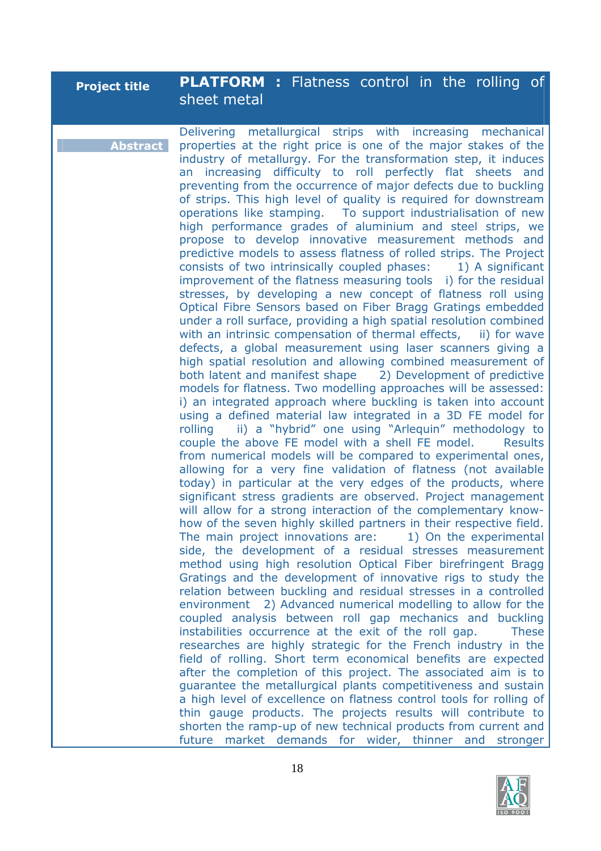| <b>Project title</b> | <b>PLATFORM:</b> Flatness control in the rolling of |  |  |  |  |
|----------------------|-----------------------------------------------------|--|--|--|--|
|                      | sheet metal                                         |  |  |  |  |

**Abstract** Delivering metallurgical strips with increasing mechanical properties at the right price is one of the major stakes of the industry of metallurgy. For the transformation step, it induces an increasing difficulty to roll perfectly flat sheets and preventing from the occurrence of major defects due to buckling of strips. This high level of quality is required for downstream operations like stamping. To support industrialisation of new high performance grades of aluminium and steel strips, we propose to develop innovative measurement methods and predictive models to assess flatness of rolled strips. The Project consists of two intrinsically coupled phases: 1) A significant improvement of the flatness measuring tools i) for the residual stresses, by developing a new concept of flatness roll using Optical Fibre Sensors based on Fiber Bragg Gratings embedded under a roll surface, providing a high spatial resolution combined with an intrinsic compensation of thermal effects, ii) for wave defects, a global measurement using laser scanners giving a high spatial resolution and allowing combined measurement of both latent and manifest shape 2) Development of predictive models for flatness. Two modelling approaches will be assessed: i) an integrated approach where buckling is taken into account using a defined material law integrated in a 3D FE model for rolling ii) a "hybrid" one using "Arlequin" methodology to couple the above FE model with a shell FE model. Results from numerical models will be compared to experimental ones, allowing for a very fine validation of flatness (not available today) in particular at the very edges of the products, where significant stress gradients are observed. Project management will allow for a strong interaction of the complementary knowhow of the seven highly skilled partners in their respective field. The main project innovations are: 1) On the experimental side, the development of a residual stresses measurement method using high resolution Optical Fiber birefringent Bragg Gratings and the development of innovative rigs to study the relation between buckling and residual stresses in a controlled environment 2) Advanced numerical modelling to allow for the coupled analysis between roll gap mechanics and buckling instabilities occurrence at the exit of the roll gap. These researches are highly strategic for the French industry in the field of rolling. Short term economical benefits are expected after the completion of this project. The associated aim is to guarantee the metallurgical plants competitiveness and sustain a high level of excellence on flatness control tools for rolling of thin gauge products. The projects results will contribute to shorten the ramp-up of new technical products from current and future market demands for wider, thinner and stronger

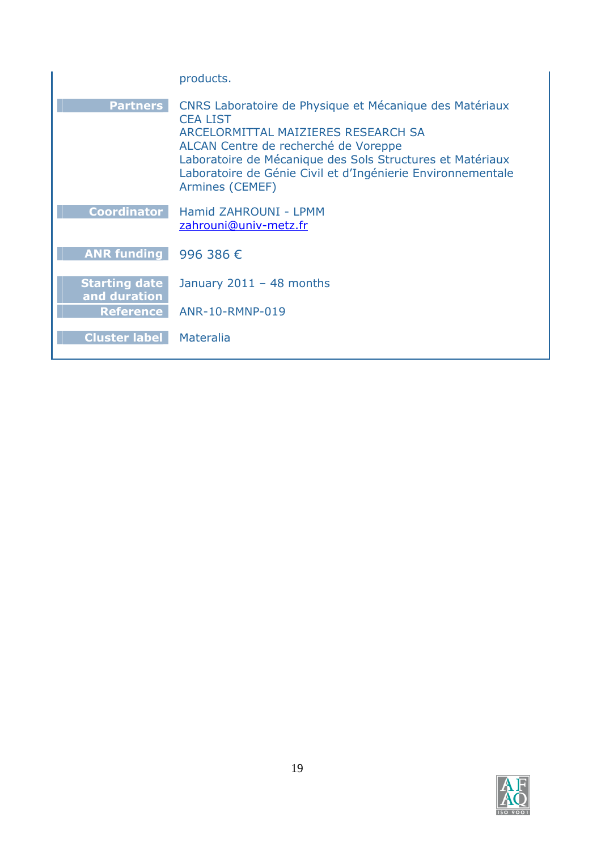|                                      | products.                                                                                                                                                                                                                                                                                                |
|--------------------------------------|----------------------------------------------------------------------------------------------------------------------------------------------------------------------------------------------------------------------------------------------------------------------------------------------------------|
| <b>Partners</b>                      | CNRS Laboratoire de Physique et Mécanique des Matériaux<br><b>CEA LIST</b><br>ARCELORMITTAL MAIZIERES RESEARCH SA<br>ALCAN Centre de recherché de Voreppe<br>Laboratoire de Mécanique des Sols Structures et Matériaux<br>Laboratoire de Génie Civil et d'Ingénierie Environnementale<br>Armines (CEMEF) |
| <b>Coordinator</b>                   | Hamid ZAHROUNI - LPMM<br>zahrouni@univ-metz.fr                                                                                                                                                                                                                                                           |
| ANR funding 996 386 $\epsilon$       |                                                                                                                                                                                                                                                                                                          |
| <b>Starting date</b><br>and duration | January $2011 - 48$ months                                                                                                                                                                                                                                                                               |
| <b>Reference</b>                     | ANR-10-RMNP-019                                                                                                                                                                                                                                                                                          |
| <b>Cluster label</b>                 | Materalia                                                                                                                                                                                                                                                                                                |

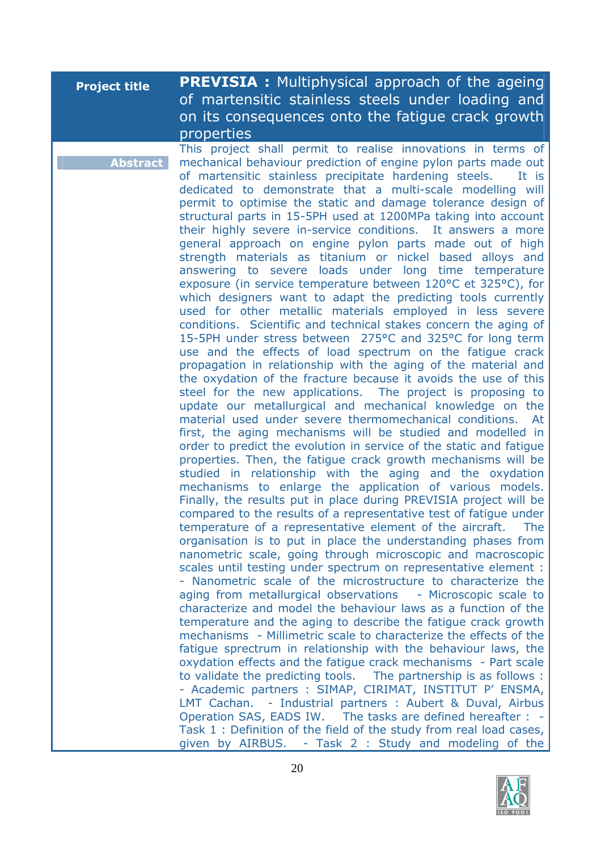| <b>Project title</b> | <b>PREVISIA:</b> Multiphysical approach of the ageing<br>of martensitic stainless steels under loading and<br>on its consequences onto the fatigue crack growth<br>properties                                                                                                                                                                                                                                                                                                                                                                                                                                                                                                                                                                                                                                                                                                                                                                                                                                                                                                                                                                                                                                                                                                                                                                                                                                                                                                                                                                                                                                                                                                                                                                                                                                                                                                                                                                                                                                                                                                                                                                                                                                                                                                                                                                                                                                                                                                                                                                                                                                                                                                                                                                                                                                                                                                                                                                                                                          |
|----------------------|--------------------------------------------------------------------------------------------------------------------------------------------------------------------------------------------------------------------------------------------------------------------------------------------------------------------------------------------------------------------------------------------------------------------------------------------------------------------------------------------------------------------------------------------------------------------------------------------------------------------------------------------------------------------------------------------------------------------------------------------------------------------------------------------------------------------------------------------------------------------------------------------------------------------------------------------------------------------------------------------------------------------------------------------------------------------------------------------------------------------------------------------------------------------------------------------------------------------------------------------------------------------------------------------------------------------------------------------------------------------------------------------------------------------------------------------------------------------------------------------------------------------------------------------------------------------------------------------------------------------------------------------------------------------------------------------------------------------------------------------------------------------------------------------------------------------------------------------------------------------------------------------------------------------------------------------------------------------------------------------------------------------------------------------------------------------------------------------------------------------------------------------------------------------------------------------------------------------------------------------------------------------------------------------------------------------------------------------------------------------------------------------------------------------------------------------------------------------------------------------------------------------------------------------------------------------------------------------------------------------------------------------------------------------------------------------------------------------------------------------------------------------------------------------------------------------------------------------------------------------------------------------------------------------------------------------------------------------------------------------------------|
| <b>Abstract</b>      | This project shall permit to realise innovations in terms of<br>mechanical behaviour prediction of engine pylon parts made out<br>of martensitic stainless precipitate hardening steels.<br>It is<br>dedicated to demonstrate that a multi-scale modelling will<br>permit to optimise the static and damage tolerance design of<br>structural parts in 15-5PH used at 1200MPa taking into account<br>their highly severe in-service conditions. It answers a more<br>general approach on engine pylon parts made out of high<br>strength materials as titanium or nickel based alloys and<br>answering to severe loads under long time temperature<br>exposure (in service temperature between 120°C et 325°C), for<br>which designers want to adapt the predicting tools currently<br>used for other metallic materials employed in less severe<br>conditions. Scientific and technical stakes concern the aging of<br>15-5PH under stress between 275°C and 325°C for long term<br>use and the effects of load spectrum on the fatique crack<br>propagation in relationship with the aging of the material and<br>the oxydation of the fracture because it avoids the use of this<br>steel for the new applications. The project is proposing to<br>update our metallurgical and mechanical knowledge on the<br>material used under severe thermomechanical conditions. At<br>first, the aging mechanisms will be studied and modelled in<br>order to predict the evolution in service of the static and fatigue<br>properties. Then, the fatigue crack growth mechanisms will be<br>studied in relationship with the aging and the oxydation<br>mechanisms to enlarge the application of various models.<br>Finally, the results put in place during PREVISIA project will be<br>compared to the results of a representative test of fatique under<br>temperature of a representative element of the aircraft.<br>The<br>organisation is to put in place the understanding phases from<br>nanometric scale, going through microscopic and macroscopic<br>scales until testing under spectrum on representative element :<br>- Nanometric scale of the microstructure to characterize the<br>aging from metallurgical observations - Microscopic scale to<br>characterize and model the behaviour laws as a function of the<br>temperature and the aging to describe the fatigue crack growth<br>mechanisms - Millimetric scale to characterize the effects of the<br>fatigue sprectrum in relationship with the behaviour laws, the<br>oxydation effects and the fatigue crack mechanisms - Part scale<br>to validate the predicting tools. The partnership is as follows :<br>- Academic partners : SIMAP, CIRIMAT, INSTITUT P' ENSMA,<br>LMT Cachan. - Industrial partners : Aubert & Duval, Airbus<br>Operation SAS, EADS IW. The tasks are defined hereafter : -<br>Task 1: Definition of the field of the study from real load cases,<br>given by AIRBUS. - Task 2 : Study and modeling of the |

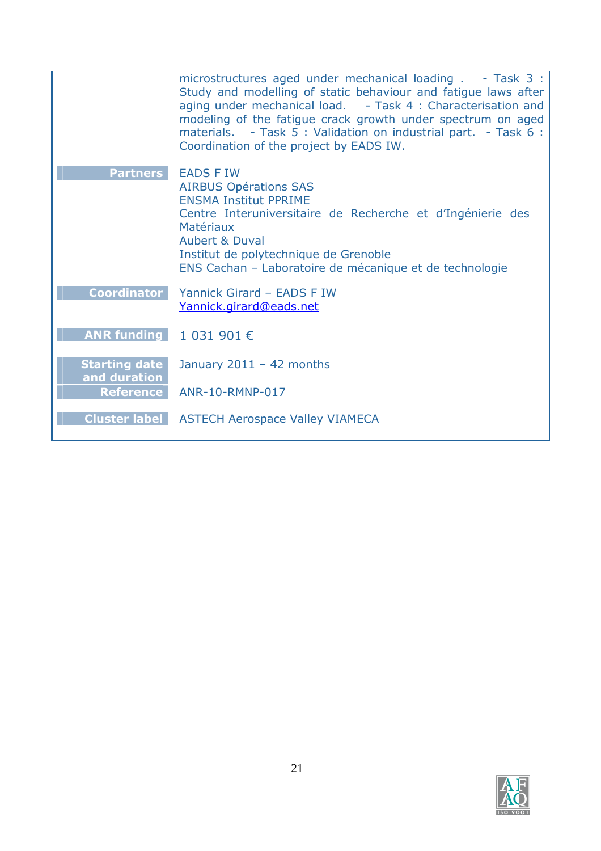|                                                                       | microstructures aged under mechanical loading . - Task 3 :<br>Study and modelling of static behaviour and fatigue laws after<br>aging under mechanical load. - Task 4 : Characterisation and<br>modeling of the fatigue crack growth under spectrum on aged<br>materials. - Task 5 : Validation on industrial part. - Task 6 :<br>Coordination of the project by EADS IW. |
|-----------------------------------------------------------------------|---------------------------------------------------------------------------------------------------------------------------------------------------------------------------------------------------------------------------------------------------------------------------------------------------------------------------------------------------------------------------|
| <b>Partners</b>                                                       | <b>EADS F IW</b><br><b>AIRBUS Opérations SAS</b><br><b>ENSMA Institut PPRIME</b><br>Centre Interuniversitaire de Recherche et d'Ingénierie des<br>Matériaux<br><b>Aubert &amp; Duval</b><br>Institut de polytechnique de Grenoble<br>ENS Cachan - Laboratoire de mécanique et de technologie                                                                              |
| <b>Coordinator</b>                                                    | Yannick Girard - EADS F IW<br>Yannick.girard@eads.net                                                                                                                                                                                                                                                                                                                     |
| ANR funding $\begin{array}{ c c c } \hline 1 & 031 & 901 \end{array}$ |                                                                                                                                                                                                                                                                                                                                                                           |
| <b>Starting date</b><br>and duration                                  | January $2011 - 42$ months                                                                                                                                                                                                                                                                                                                                                |
|                                                                       | Reference ANR-10-RMNP-017                                                                                                                                                                                                                                                                                                                                                 |
|                                                                       | <b>Cluster label</b> ASTECH Aerospace Valley VIAMECA                                                                                                                                                                                                                                                                                                                      |

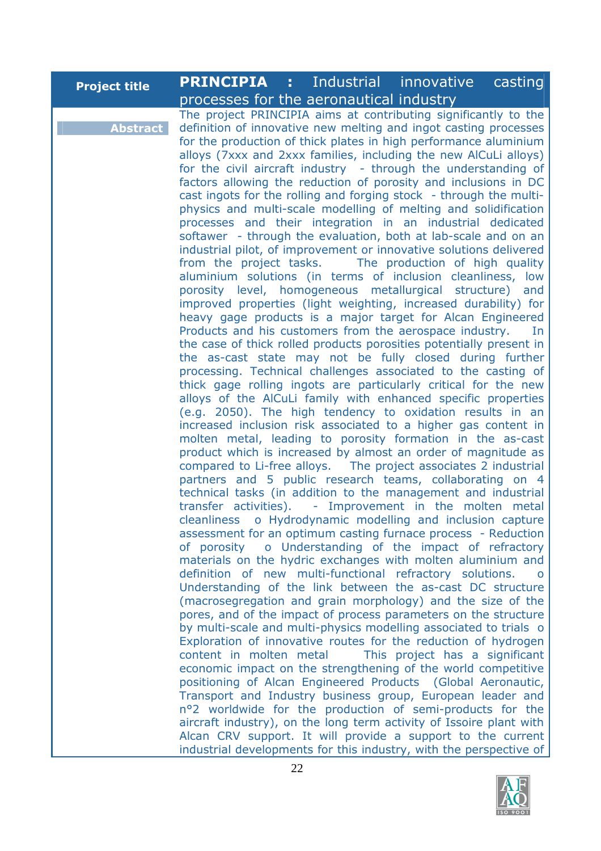| <b>Project title</b><br>processes for the aeronautical industry<br>The project PRINCIPIA aims at contributing significantly to the<br><b>Abstract</b><br>definition of innovative new melting and ingot casting processes<br>for the production of thick plates in high performance aluminium<br>alloys (7xxx and 2xxx families, including the new AlCuLi alloys)<br>for the civil aircraft industry - through the understanding of<br>factors allowing the reduction of porosity and inclusions in DC<br>cast ingots for the rolling and forging stock - through the multi-<br>physics and multi-scale modelling of melting and solidification<br>processes and their integration in an industrial dedicated<br>softawer - through the evaluation, both at lab-scale and on an<br>industrial pilot, of improvement or innovative solutions delivered<br>from the project tasks.<br>The production of high quality<br>aluminium solutions (in terms of inclusion cleanliness, low                                                                                                                                                                                                                                                                                                                                                                                                                                                                                                                                                                                                                                                                                                                                                                                                                                                                                                                                                                                                                                                                                                                                                                                                 |
|-----------------------------------------------------------------------------------------------------------------------------------------------------------------------------------------------------------------------------------------------------------------------------------------------------------------------------------------------------------------------------------------------------------------------------------------------------------------------------------------------------------------------------------------------------------------------------------------------------------------------------------------------------------------------------------------------------------------------------------------------------------------------------------------------------------------------------------------------------------------------------------------------------------------------------------------------------------------------------------------------------------------------------------------------------------------------------------------------------------------------------------------------------------------------------------------------------------------------------------------------------------------------------------------------------------------------------------------------------------------------------------------------------------------------------------------------------------------------------------------------------------------------------------------------------------------------------------------------------------------------------------------------------------------------------------------------------------------------------------------------------------------------------------------------------------------------------------------------------------------------------------------------------------------------------------------------------------------------------------------------------------------------------------------------------------------------------------------------------------------------------------------------------------------------------------|
|                                                                                                                                                                                                                                                                                                                                                                                                                                                                                                                                                                                                                                                                                                                                                                                                                                                                                                                                                                                                                                                                                                                                                                                                                                                                                                                                                                                                                                                                                                                                                                                                                                                                                                                                                                                                                                                                                                                                                                                                                                                                                                                                                                                   |
| porosity level, homogeneous metallurgical structure) and<br>improved properties (light weighting, increased durability) for<br>heavy gage products is a major target for Alcan Engineered<br>Products and his customers from the aerospace industry.<br>the case of thick rolled products porosities potentially present in<br>the as-cast state may not be fully closed during further<br>processing. Technical challenges associated to the casting of<br>thick gage rolling ingots are particularly critical for the new<br>alloys of the AlCuLi family with enhanced specific properties<br>(e.g. 2050). The high tendency to oxidation results in an<br>increased inclusion risk associated to a higher gas content in<br>molten metal, leading to porosity formation in the as-cast<br>product which is increased by almost an order of magnitude as<br>compared to Li-free alloys. The project associates 2 industrial<br>partners and 5 public research teams, collaborating on 4<br>technical tasks (in addition to the management and industrial<br>transfer activities). - Improvement in the molten metal<br>cleanliness o Hydrodynamic modelling and inclusion capture<br>assessment for an optimum casting furnace process - Reduction<br>of porosity o Understanding of the impact of refractory<br>materials on the hydric exchanges with molten aluminium and<br>definition of new multi-functional refractory solutions.<br>Understanding of the link between the as-cast DC structure<br>(macrosegregation and grain morphology) and the size of the<br>pores, and of the impact of process parameters on the structure<br>by multi-scale and multi-physics modelling associated to trials o<br>Exploration of innovative routes for the reduction of hydrogen<br>content in molten metal<br>This project has a significant<br>economic impact on the strengthening of the world competitive<br>positioning of Alcan Engineered Products (Global Aeronautic,<br>Transport and Industry business group, European leader and<br>nº2 worldwide for the production of semi-products for the<br>aircraft industry), on the long term activity of Issoire plant with |

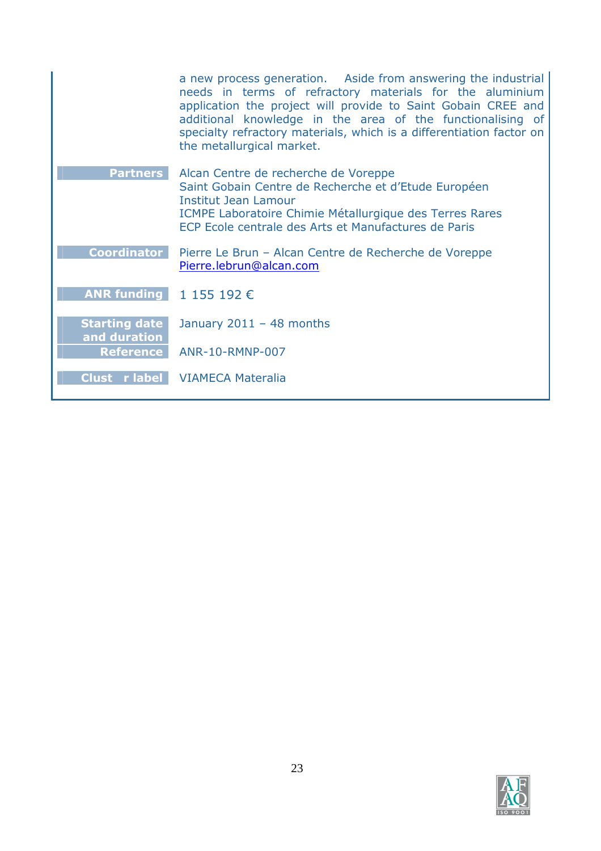|                                      | a new process generation. Aside from answering the industrial<br>needs in terms of refractory materials for the aluminium<br>application the project will provide to Saint Gobain CREE and<br>additional knowledge in the area of the functionalising of<br>specialty refractory materials, which is a differentiation factor on<br>the metallurgical market. |
|--------------------------------------|---------------------------------------------------------------------------------------------------------------------------------------------------------------------------------------------------------------------------------------------------------------------------------------------------------------------------------------------------------------|
| <b>Partners</b>                      | Alcan Centre de recherche de Voreppe<br>Saint Gobain Centre de Recherche et d'Etude Européen<br><b>Institut Jean Lamour</b><br>ICMPE Laboratoire Chimie Métallurgique des Terres Rares<br>ECP Ecole centrale des Arts et Manufactures de Paris                                                                                                                |
| <b>Coordinator</b>                   | Pierre Le Brun – Alcan Centre de Recherche de Voreppe<br>Pierre.lebrun@alcan.com                                                                                                                                                                                                                                                                              |
| ANR funding $1155192 \in$            |                                                                                                                                                                                                                                                                                                                                                               |
| <b>Starting date</b><br>and duration | January $2011 - 48$ months                                                                                                                                                                                                                                                                                                                                    |
| <b>Reference</b>                     | ANR-10-RMNP-007                                                                                                                                                                                                                                                                                                                                               |
|                                      | <b>Clust</b> r label VIAMECA Materalia                                                                                                                                                                                                                                                                                                                        |

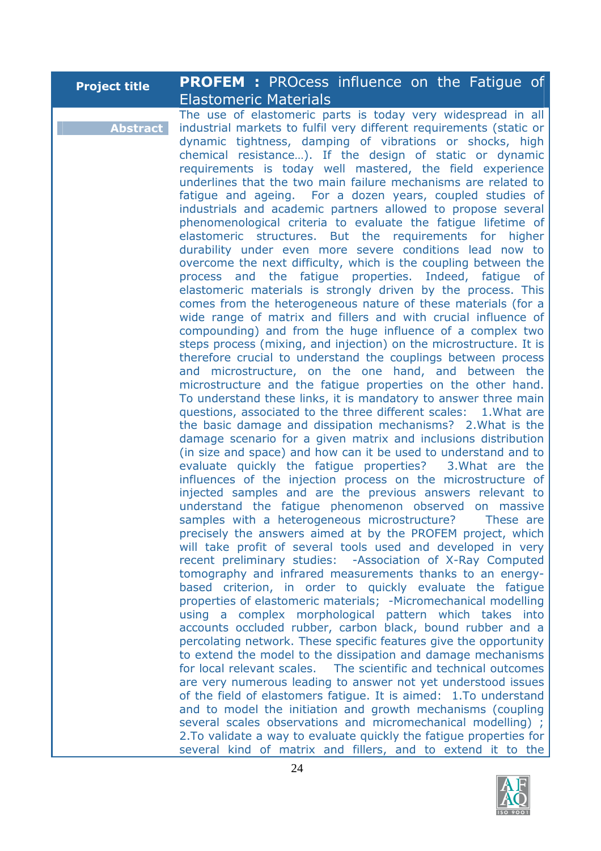| <b>Project title</b> | <b>PROFEM :</b> PROcess influence on the Fatigue of                                                                                                                                                                                                                                                                                                                                                                                                                                                                                                                                                                                                                                                                                                                                                                                                                                                                                                                                                                                                                                                                                                                                                                                                                                                                                                                                                                                                                                                                                                                                                                                                                                                                                                                                                                 |
|----------------------|---------------------------------------------------------------------------------------------------------------------------------------------------------------------------------------------------------------------------------------------------------------------------------------------------------------------------------------------------------------------------------------------------------------------------------------------------------------------------------------------------------------------------------------------------------------------------------------------------------------------------------------------------------------------------------------------------------------------------------------------------------------------------------------------------------------------------------------------------------------------------------------------------------------------------------------------------------------------------------------------------------------------------------------------------------------------------------------------------------------------------------------------------------------------------------------------------------------------------------------------------------------------------------------------------------------------------------------------------------------------------------------------------------------------------------------------------------------------------------------------------------------------------------------------------------------------------------------------------------------------------------------------------------------------------------------------------------------------------------------------------------------------------------------------------------------------|
| <b>Abstract</b>      | <b>Elastomeric Materials</b><br>The use of elastomeric parts is today very widespread in all<br>industrial markets to fulfil very different requirements (static or<br>dynamic tightness, damping of vibrations or shocks, high<br>chemical resistance). If the design of static or dynamic<br>requirements is today well mastered, the field experience<br>underlines that the two main failure mechanisms are related to<br>fatigue and ageing. For a dozen years, coupled studies of<br>industrials and academic partners allowed to propose several<br>phenomenological criteria to evaluate the fatigue lifetime of<br>elastomeric structures. But the requirements for higher<br>durability under even more severe conditions lead now to<br>overcome the next difficulty, which is the coupling between the<br>process and the fatigue properties. Indeed, fatigue of<br>elastomeric materials is strongly driven by the process. This<br>comes from the heterogeneous nature of these materials (for a<br>wide range of matrix and fillers and with crucial influence of<br>compounding) and from the huge influence of a complex two<br>steps process (mixing, and injection) on the microstructure. It is<br>therefore crucial to understand the couplings between process<br>and microstructure, on the one hand, and between the<br>microstructure and the fatigue properties on the other hand.<br>To understand these links, it is mandatory to answer three main<br>questions, associated to the three different scales: 1. What are<br>the basic damage and dissipation mechanisms? 2. What is the<br>damage scenario for a given matrix and inclusions distribution<br>(in size and space) and how can it be used to understand and to<br>evaluate quickly the fatigue properties? 3. What are the |
|                      | influences of the injection process on the microstructure of<br>injected samples and are the previous answers relevant to<br>understand the fatigue phenomenon observed on massive<br>samples with a heterogeneous microstructure? These are<br>precisely the answers aimed at by the PROFEM project, which<br>will take profit of several tools used and developed in very<br>recent preliminary studies: - Association of X-Ray Computed<br>tomography and infrared measurements thanks to an energy-<br>based criterion, in order to quickly evaluate the fatigue<br>properties of elastomeric materials; -Micromechanical modelling<br>using a complex morphological pattern which takes into<br>accounts occluded rubber, carbon black, bound rubber and a<br>percolating network. These specific features give the opportunity<br>to extend the model to the dissipation and damage mechanisms<br>for local relevant scales. The scientific and technical outcomes<br>are very numerous leading to answer not yet understood issues<br>of the field of elastomers fatigue. It is aimed: 1.To understand<br>and to model the initiation and growth mechanisms (coupling<br>several scales observations and micromechanical modelling);<br>2. To validate a way to evaluate quickly the fatigue properties for<br>several kind of matrix and fillers, and to extend it to the                                                                                                                                                                                                                                                                                                                                                                                                                                   |

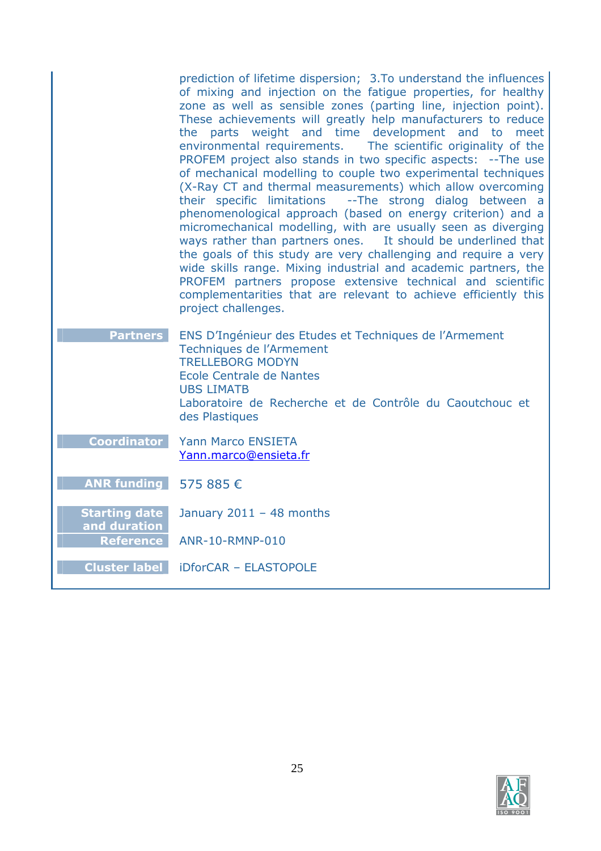|                                      | prediction of lifetime dispersion; 3.To understand the influences<br>of mixing and injection on the fatigue properties, for healthy<br>zone as well as sensible zones (parting line, injection point).<br>These achievements will greatly help manufacturers to reduce<br>the parts weight and time development and to meet<br>environmental requirements. The scientific originality of the<br>PROFEM project also stands in two specific aspects: -- The use<br>of mechanical modelling to couple two experimental techniques<br>(X-Ray CT and thermal measurements) which allow overcoming<br>their specific limitations --The strong dialog between a<br>phenomenological approach (based on energy criterion) and a<br>micromechanical modelling, with are usually seen as diverging<br>ways rather than partners ones.<br>It should be underlined that<br>the goals of this study are very challenging and require a very<br>wide skills range. Mixing industrial and academic partners, the<br>PROFEM partners propose extensive technical and scientific<br>complementarities that are relevant to achieve efficiently this<br>project challenges. |
|--------------------------------------|------------------------------------------------------------------------------------------------------------------------------------------------------------------------------------------------------------------------------------------------------------------------------------------------------------------------------------------------------------------------------------------------------------------------------------------------------------------------------------------------------------------------------------------------------------------------------------------------------------------------------------------------------------------------------------------------------------------------------------------------------------------------------------------------------------------------------------------------------------------------------------------------------------------------------------------------------------------------------------------------------------------------------------------------------------------------------------------------------------------------------------------------------------|
| <b>Partners</b>                      | ENS D'Ingénieur des Etudes et Techniques de l'Armement<br>Techniques de l'Armement<br><b>TRELLEBORG MODYN</b><br>Ecole Centrale de Nantes<br><b>UBS LIMATB</b><br>Laboratoire de Recherche et de Contrôle du Caoutchouc et                                                                                                                                                                                                                                                                                                                                                                                                                                                                                                                                                                                                                                                                                                                                                                                                                                                                                                                                 |
|                                      | des Plastiques                                                                                                                                                                                                                                                                                                                                                                                                                                                                                                                                                                                                                                                                                                                                                                                                                                                                                                                                                                                                                                                                                                                                             |
| <b>Coordinator</b>                   | <b>Yann Marco ENSIETA</b><br>Yann.marco@ensieta.fr                                                                                                                                                                                                                                                                                                                                                                                                                                                                                                                                                                                                                                                                                                                                                                                                                                                                                                                                                                                                                                                                                                         |
| <b>ANR funding</b>                   | 575 885 €                                                                                                                                                                                                                                                                                                                                                                                                                                                                                                                                                                                                                                                                                                                                                                                                                                                                                                                                                                                                                                                                                                                                                  |
| <b>Starting date</b><br>and duration | January $2011 - 48$ months                                                                                                                                                                                                                                                                                                                                                                                                                                                                                                                                                                                                                                                                                                                                                                                                                                                                                                                                                                                                                                                                                                                                 |
| <b>Reference</b>                     | ANR-10-RMNP-010                                                                                                                                                                                                                                                                                                                                                                                                                                                                                                                                                                                                                                                                                                                                                                                                                                                                                                                                                                                                                                                                                                                                            |
|                                      | <b>Cluster label   iDforCAR - ELASTOPOLE</b>                                                                                                                                                                                                                                                                                                                                                                                                                                                                                                                                                                                                                                                                                                                                                                                                                                                                                                                                                                                                                                                                                                               |

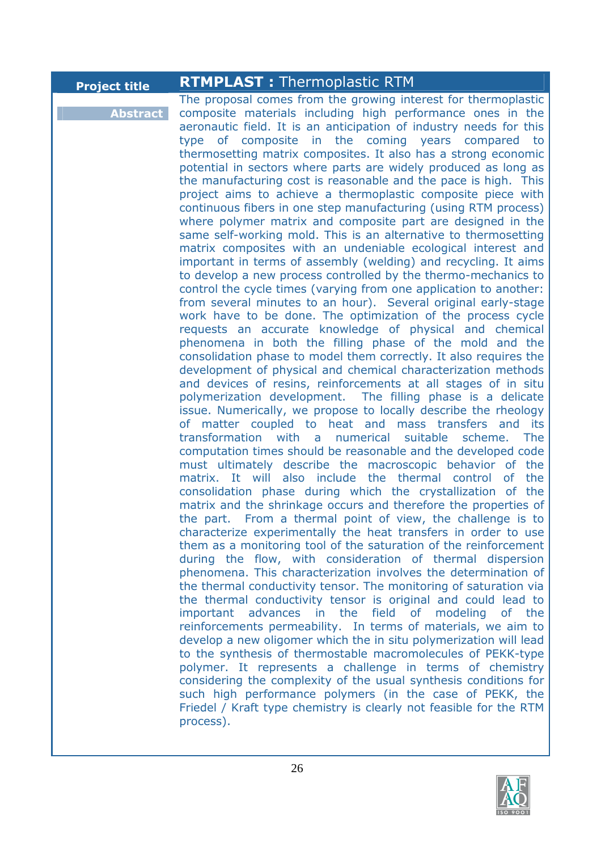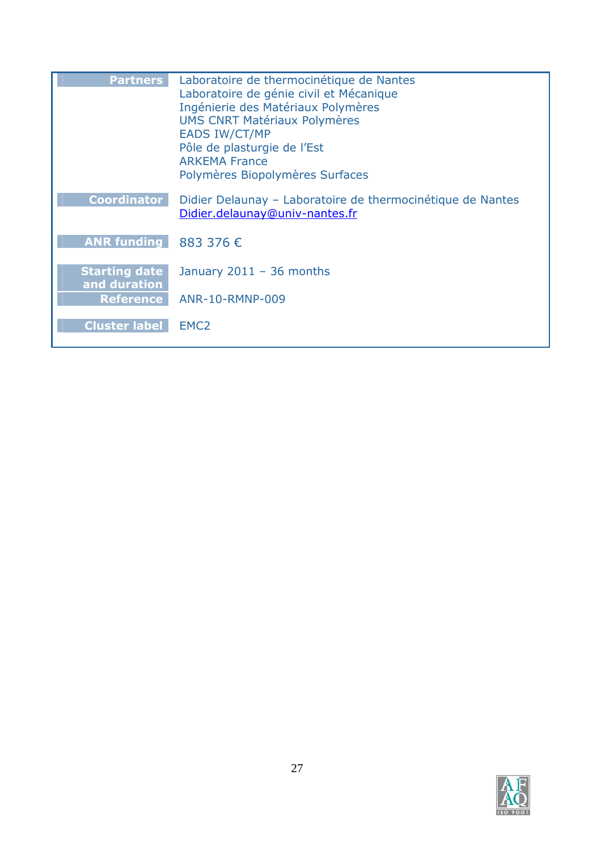| <b>Partners</b>                      | Laboratoire de thermocinétique de Nantes<br>Laboratoire de génie civil et Mécanique<br>Ingénierie des Matériaux Polymères<br><b>UMS CNRT Matériaux Polymères</b><br><b>EADS IW/CT/MP</b><br>Pôle de plasturgie de l'Est<br><b>ARKEMA France</b><br>Polymères Biopolymères Surfaces |
|--------------------------------------|------------------------------------------------------------------------------------------------------------------------------------------------------------------------------------------------------------------------------------------------------------------------------------|
| <b>Coordinator</b>                   | Didier Delaunay – Laboratoire de thermocinétique de Nantes<br>Didier.delaunay@univ-nantes.fr                                                                                                                                                                                       |
| ANR funding 883 376 $\epsilon$       |                                                                                                                                                                                                                                                                                    |
| <b>Starting date</b><br>and duration | January $2011 - 36$ months                                                                                                                                                                                                                                                         |
| <b>Reference</b>                     | ANR-10-RMNP-009                                                                                                                                                                                                                                                                    |
| <b>Cluster label</b>                 | EMC <sub>2</sub>                                                                                                                                                                                                                                                                   |

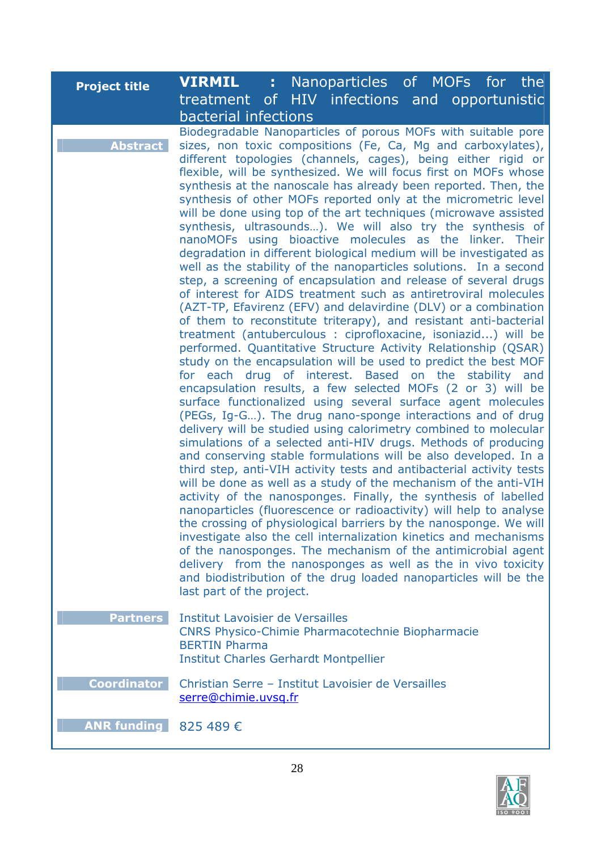| <b>Project title</b> | <b>VIRMIL</b><br>Nanoparticles of MOFs for the<br>t.                                                                                                                                                                                                                                                                                                                                                                                                                                                                                                                                                                                                                                                                                                                                                                                                                                                                                                                                                                                                                                                                                                                                                                                                                                                                                                       |
|----------------------|------------------------------------------------------------------------------------------------------------------------------------------------------------------------------------------------------------------------------------------------------------------------------------------------------------------------------------------------------------------------------------------------------------------------------------------------------------------------------------------------------------------------------------------------------------------------------------------------------------------------------------------------------------------------------------------------------------------------------------------------------------------------------------------------------------------------------------------------------------------------------------------------------------------------------------------------------------------------------------------------------------------------------------------------------------------------------------------------------------------------------------------------------------------------------------------------------------------------------------------------------------------------------------------------------------------------------------------------------------|
|                      | treatment of HIV infections and opportunistic                                                                                                                                                                                                                                                                                                                                                                                                                                                                                                                                                                                                                                                                                                                                                                                                                                                                                                                                                                                                                                                                                                                                                                                                                                                                                                              |
|                      | bacterial infections                                                                                                                                                                                                                                                                                                                                                                                                                                                                                                                                                                                                                                                                                                                                                                                                                                                                                                                                                                                                                                                                                                                                                                                                                                                                                                                                       |
| <b>Abstract</b>      | Biodegradable Nanoparticles of porous MOFs with suitable pore<br>sizes, non toxic compositions (Fe, Ca, Mg and carboxylates),<br>different topologies (channels, cages), being either rigid or<br>flexible, will be synthesized. We will focus first on MOFs whose<br>synthesis at the nanoscale has already been reported. Then, the<br>synthesis of other MOFs reported only at the micrometric level<br>will be done using top of the art techniques (microwave assisted<br>synthesis, ultrasounds). We will also try the synthesis of<br>nanoMOFs using bioactive molecules as the linker. Their<br>degradation in different biological medium will be investigated as<br>well as the stability of the nanoparticles solutions. In a second<br>step, a screening of encapsulation and release of several drugs<br>of interest for AIDS treatment such as antiretroviral molecules<br>(AZT-TP, Efavirenz (EFV) and delavirdine (DLV) or a combination<br>of them to reconstitute triterapy), and resistant anti-bacterial<br>treatment (antuberculous : ciprofloxacine, isoniazid) will be<br>performed. Quantitative Structure Activity Relationship (QSAR)<br>study on the encapsulation will be used to predict the best MOF<br>for each drug of interest. Based on the stability and<br>encapsulation results, a few selected MOFs (2 or 3) will be |
|                      | surface functionalized using several surface agent molecules<br>(PEGs, Ig-G). The drug nano-sponge interactions and of drug<br>delivery will be studied using calorimetry combined to molecular<br>simulations of a selected anti-HIV drugs. Methods of producing<br>and conserving stable formulations will be also developed. In a<br>third step, anti-VIH activity tests and antibacterial activity tests<br>will be done as well as a study of the mechanism of the anti-VIH<br>activity of the nanosponges. Finally, the synthesis of labelled<br>nanoparticles (fluorescence or radioactivity) will help to analyse<br>the crossing of physiological barriers by the nanosponge. We will<br>investigate also the cell internalization kinetics and mechanisms<br>of the nanosponges. The mechanism of the antimicrobial agent<br>delivery from the nanosponges as well as the in vivo toxicity<br>and biodistribution of the drug loaded nanoparticles will be the<br>last part of the project.                                                                                                                                                                                                                                                                                                                                                      |
| <b>Partners</b>      | <b>Institut Lavoisier de Versailles</b><br><b>CNRS Physico-Chimie Pharmacotechnie Biopharmacie</b><br><b>BERTIN Pharma</b><br><b>Institut Charles Gerhardt Montpellier</b>                                                                                                                                                                                                                                                                                                                                                                                                                                                                                                                                                                                                                                                                                                                                                                                                                                                                                                                                                                                                                                                                                                                                                                                 |
| <b>Coordinator</b>   | Christian Serre - Institut Lavoisier de Versailles<br>serre@chimie.uvsq.fr                                                                                                                                                                                                                                                                                                                                                                                                                                                                                                                                                                                                                                                                                                                                                                                                                                                                                                                                                                                                                                                                                                                                                                                                                                                                                 |
| <b>ANR funding</b>   | 825 489 €                                                                                                                                                                                                                                                                                                                                                                                                                                                                                                                                                                                                                                                                                                                                                                                                                                                                                                                                                                                                                                                                                                                                                                                                                                                                                                                                                  |